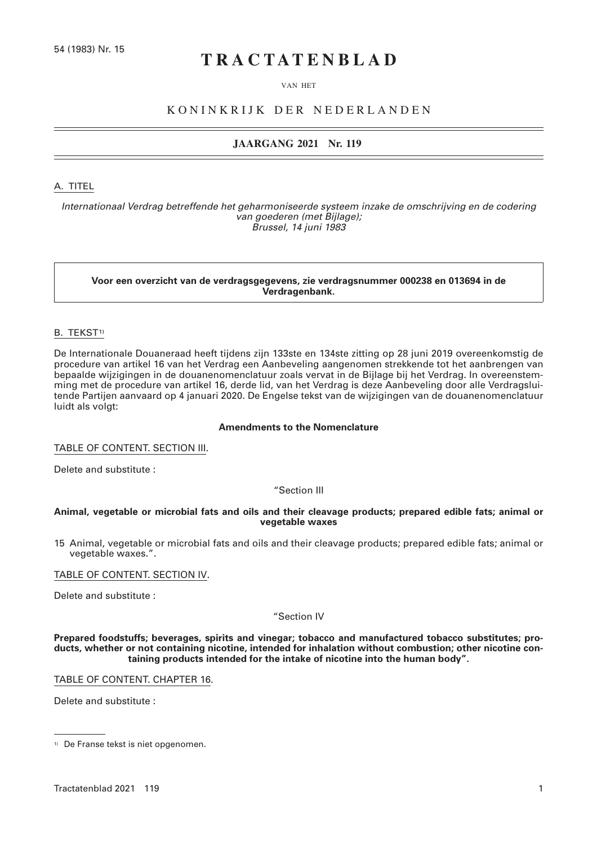# **TRACTATENBLAD**

# VAN HET

# KONINKRIJK DER NEDERLANDEN

# **JAARGANG 2021 Nr. 119**

## A. TITEL

*Internationaal Verdrag betreffende het geharmoniseerde systeem inzake de omschrijving en de codering van goederen (met Bijlage); Brussel, 14 juni 1983*

**Voor een overzicht van de verdragsgegevens, zie verdragsnummer 000238 en 013694 in de Verdragenbank.**

## B. TEKST<sup>1)</sup>

De Internationale Douaneraad heeft tijdens zijn 133ste en 134ste zitting op 28 juni 2019 overeenkomstig de procedure van artikel 16 van het Verdrag een Aanbeveling aangenomen strekkende tot het aanbrengen van bepaalde wijzigingen in de douanenomenclatuur zoals vervat in de Bijlage bij het Verdrag. In overeenstemming met de procedure van artikel 16, derde lid, van het Verdrag is deze Aanbeveling door alle Verdragsluitende Partijen aanvaard op 4 januari 2020. De Engelse tekst van de wijzigingen van de douanenomenclatuur luidt als volgt:

#### **Amendments to the Nomenclature**

TABLE OF CONTENT. SECTION III.

Delete and substitute :

#### "Section III

## **Animal, vegetable or microbial fats and oils and their cleavage products; prepared edible fats; animal or vegetable waxes**

15 Animal, vegetable or microbial fats and oils and their cleavage products; prepared edible fats; animal or vegetable waxes.".

#### TABLE OF CONTENT. SECTION IV.

Delete and substitute :

#### "Section IV

**Prepared foodstuffs; beverages, spirits and vinegar; tobacco and manufactured tobacco substitutes; products, whether or not containing nicotine, intended for inhalation without combustion; other nicotine containing products intended for the intake of nicotine into the human body".**

TABLE OF CONTENT. CHAPTER 16.

<sup>1)</sup> De Franse tekst is niet opgenomen.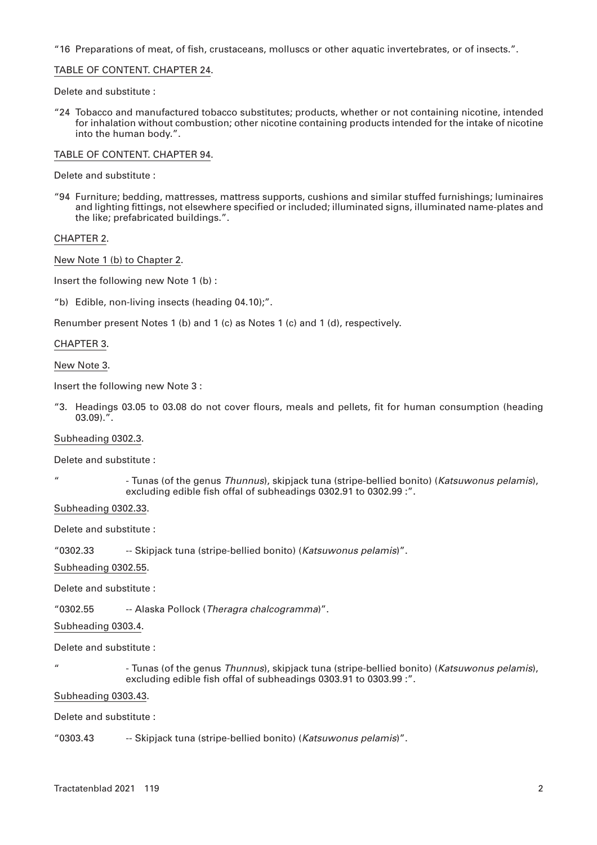"16 Preparations of meat, of fish, crustaceans, molluscs or other aquatic invertebrates, or of insects.".

## TABLE OF CONTENT. CHAPTER 24.

Delete and substitute :

"24 Tobacco and manufactured tobacco substitutes; products, whether or not containing nicotine, intended for inhalation without combustion; other nicotine containing products intended for the intake of nicotine into the human body.".

TABLE OF CONTENT. CHAPTER 94.

Delete and substitute :

"94 Furniture; bedding, mattresses, mattress supports, cushions and similar stuffed furnishings; luminaires and lighting fittings, not elsewhere specified or included; illuminated signs, illuminated name-plates and the like; prefabricated buildings.".

## CHAPTER 2.

New Note 1 (b) to Chapter 2.

Insert the following new Note 1 (b) :

"b) Edible, non-living insects (heading 04.10);".

Renumber present Notes 1 (b) and 1 (c) as Notes 1 (c) and 1 (d), respectively.

## CHAPTER 3.

#### New Note 3.

Insert the following new Note 3 :

"3. Headings 03.05 to 03.08 do not cover flours, meals and pellets, fit for human consumption (heading 03.09).".

#### Subheading 0302.3.

Delete and substitute :

" - Tunas (of the genus *Thunnus*), skipjack tuna (stripe-bellied bonito) (*Katsuwonus pelamis*), excluding edible fish offal of subheadings 0302.91 to 0302.99 :".

Subheading 0302.33.

Delete and substitute :

"0302.33 -- Skipjack tuna (stripe-bellied bonito) (*Katsuwonus pelamis*)".

Subheading 0302.55.

Delete and substitute :

"0302.55 -- Alaska Pollock (*Theragra chalcogramma*)".

Subheading 0303.4.

Delete and substitute :

" - Tunas (of the genus *Thunnus*), skipjack tuna (stripe-bellied bonito) (*Katsuwonus pelamis*), excluding edible fish offal of subheadings 0303.91 to 0303.99 :".

Subheading 0303.43.

Delete and substitute :

"0303.43 -- Skipjack tuna (stripe-bellied bonito) (*Katsuwonus pelamis*)".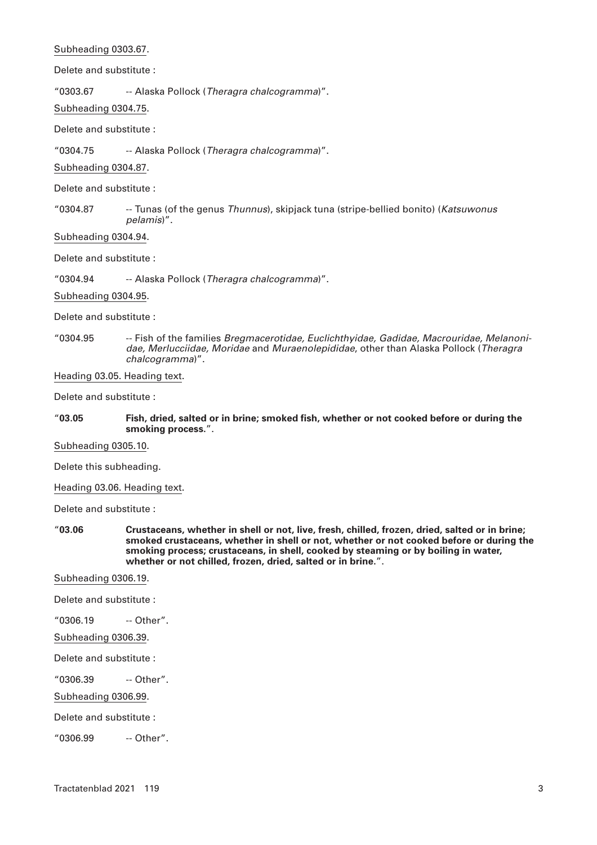# Subheading 0303.67.

## Delete and substitute :

"0303.67 -- Alaska Pollock (*Theragra chalcogramma*)".

Subheading 0304.75.

Delete and substitute :

"0304.75 -- Alaska Pollock (*Theragra chalcogramma*)".

Subheading 0304.87.

Delete and substitute :

"0304.87 -- Tunas (of the genus *Thunnus*), skipjack tuna (stripe-bellied bonito) (*Katsuwonus pelamis*)".

Subheading 0304.94.

Delete and substitute :

"0304.94 -- Alaska Pollock (*Theragra chalcogramma*)".

Subheading 0304.95.

Delete and substitute :

"0304.95 -- Fish of the families *Bregmacerotidae, Euclichthyidae, Gadidae, Macrouridae, Melanonidae, Merlucciidae, Moridae* and *Muraenolepididae*, other than Alaska Pollock (*Theragra chalcogramma*)".

Heading 03.05. Heading text.

Delete and substitute :

"**03.05 Fish, dried, salted or in brine; smoked fish, whether or not cooked before or during the smoking process.**".

Subheading 0305.10.

Delete this subheading.

Heading 03.06. Heading text.

Delete and substitute :

"**03.06 Crustaceans, whether in shell or not, live, fresh, chilled, frozen, dried, salted or in brine; smoked crustaceans, whether in shell or not, whether or not cooked before or during the smoking process; crustaceans, in shell, cooked by steaming or by boiling in water, whether or not chilled, frozen, dried, salted or in brine.**".

Subheading 0306.19.

Delete and substitute :

"0306.19 -- Other".

Subheading 0306.39.

Delete and substitute :

"0306.39 -- Other".

Subheading 0306.99.

Delete and substitute :

"0306.99 -- Other".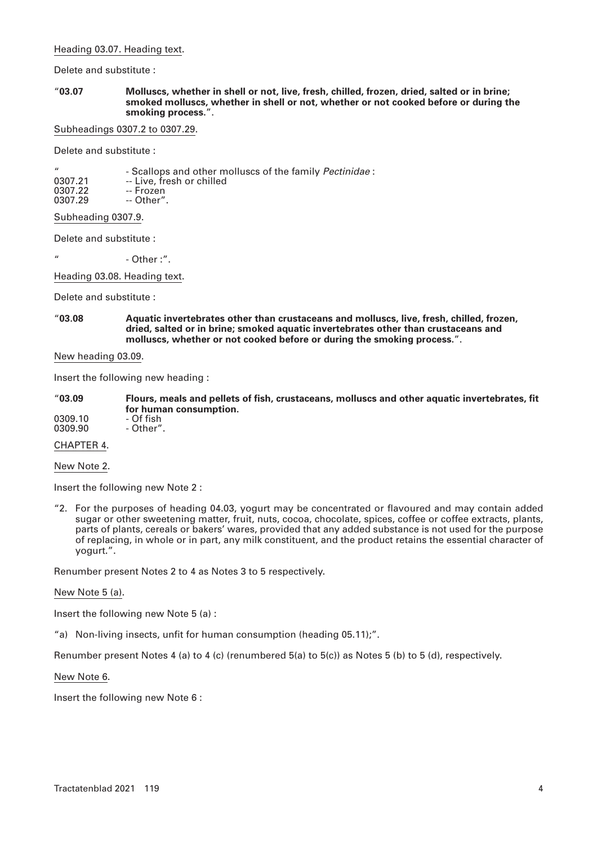Heading 03.07. Heading text.

Delete and substitute :

"**03.07 Molluscs, whether in shell or not, live, fresh, chilled, frozen, dried, salted or in brine; smoked molluscs, whether in shell or not, whether or not cooked before or during the smoking process.**".

Subheadings 0307.2 to 0307.29.

Delete and substitute :

| $\prime$ | - Scallops and other molluscs of the family Pectinidae: |
|----------|---------------------------------------------------------|
| 0307.21  | -- Live, fresh or chilled                               |
| 0307.22  | -- Frozen                                               |
| 0307.29  | -- Other".                                              |

Subheading 0307.9.

Delete and substitute :

" - Other :".

Heading 03.08. Heading text.

Delete and substitute :

"**03.08 Aquatic invertebrates other than crustaceans and molluscs, live, fresh, chilled, frozen, dried, salted or in brine; smoked aquatic invertebrates other than crustaceans and molluscs, whether or not cooked before or during the smoking process.**".

New heading 03.09.

Insert the following new heading :

"**03.09 Flours, meals and pellets of fish, crustaceans, molluscs and other aquatic invertebrates, fit for human consumption.**

0309.10 - Of fish<br>0309.90 - Other" - Other".

# CHAPTER 4.

New Note 2.

Insert the following new Note 2 :

"2. For the purposes of heading 04.03, yogurt may be concentrated or flavoured and may contain added sugar or other sweetening matter, fruit, nuts, cocoa, chocolate, spices, coffee or coffee extracts, plants, parts of plants, cereals or bakers' wares, provided that any added substance is not used for the purpose of replacing, in whole or in part, any milk constituent, and the product retains the essential character of yogurt.".

Renumber present Notes 2 to 4 as Notes 3 to 5 respectively.

# New Note 5 (a).

Insert the following new Note 5 (a) :

"a) Non-living insects, unfit for human consumption (heading 05.11);".

Renumber present Notes 4 (a) to 4 (c) (renumbered 5(a) to 5(c)) as Notes 5 (b) to 5 (d), respectively.

New Note 6.

Insert the following new Note 6 :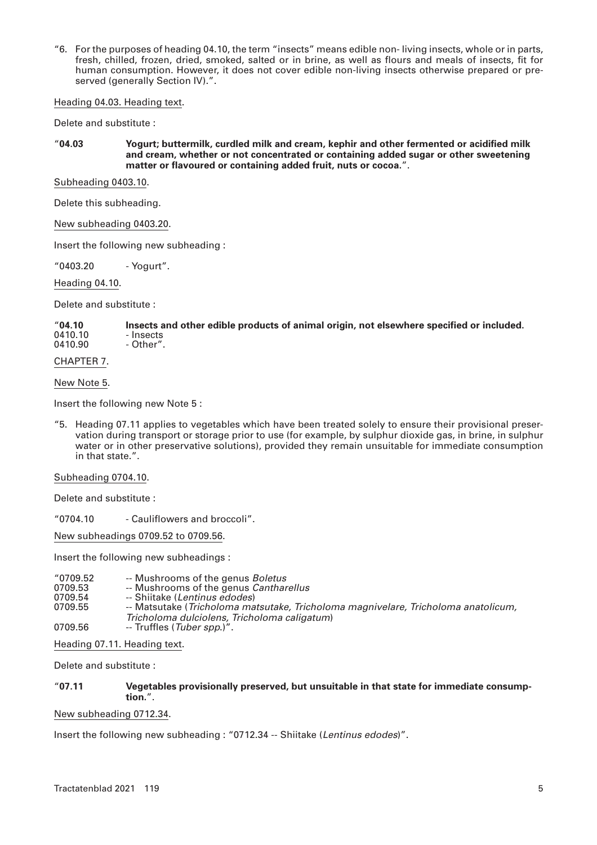"6. For the purposes of heading 04.10, the term "insects" means edible non- living insects, whole or in parts, fresh, chilled, frozen, dried, smoked, salted or in brine, as well as flours and meals of insects, fit for human consumption. However, it does not cover edible non-living insects otherwise prepared or preserved (generally Section IV).".

Heading 04.03. Heading text.

Delete and substitute :

"**04.03 Yogurt; buttermilk, curdled milk and cream, kephir and other fermented or acidified milk and cream, whether or not concentrated or containing added sugar or other sweetening matter or flavoured or containing added fruit, nuts or cocoa.**".

Subheading 0403.10.

Delete this subheading.

New subheading 0403.20.

Insert the following new subheading :

"0403.20 - Yogurt".

Heading 04.10.

Delete and substitute :

#### "**04.10 Insects and other edible products of animal origin, not elsewhere specified or included.** 0410.10 - Insects<br>0410.90 - Other". - Other".

CHAPTER 7.

New Note 5.

Insert the following new Note 5 :

"5. Heading 07.11 applies to vegetables which have been treated solely to ensure their provisional preservation during transport or storage prior to use (for example, by sulphur dioxide gas, in brine, in sulphur water or in other preservative solutions), provided they remain unsuitable for immediate consumption in that state.".

# Subheading 0704.10.

Delete and substitute :

"0704.10 - Cauliflowers and broccoli".

New subheadings 0709.52 to 0709.56.

Insert the following new subheadings :

- 
- "0709.52 -- Mushrooms of the genus *Boletus* 0709.53 -- Mushrooms of the genus *Cantharellus*
- 0709.54 -- Shiitake (*Lentinus edodes*)
- 0709.55 -- Matsutake (*Tricholoma matsutake, Tricholoma magnivelare, Tricholoma anatolicum,*
- *Tricholoma dulciolens, Tricholoma caligatum*)
- 0709.56 -- Truffles (*Tuber spp*.)".

Heading 07.11. Heading text.

Delete and substitute :

# "**07.11 Vegetables provisionally preserved, but unsuitable in that state for immediate consumption.**".

New subheading 0712.34.

Insert the following new subheading : "0712.34 -- Shiitake (*Lentinus edodes*)".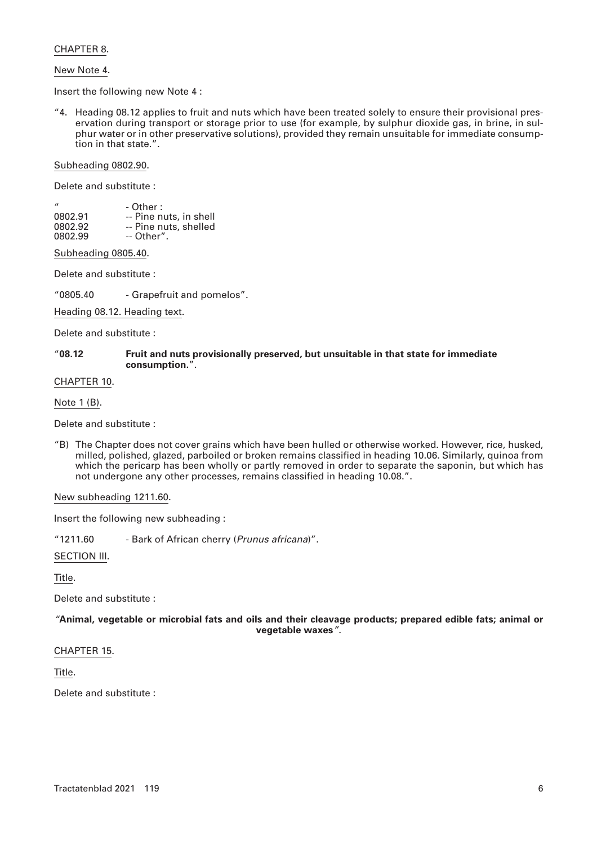# CHAPTER 8.

## New Note 4.

Insert the following new Note 4 :

"4. Heading 08.12 applies to fruit and nuts which have been treated solely to ensure their provisional preservation during transport or storage prior to use (for example, by sulphur dioxide gas, in brine, in sulphur water or in other preservative solutions), provided they remain unsuitable for immediate consumption in that state.".

## Subheading 0802.90.

Delete and substitute :

| $\prime$ | - Other :              |
|----------|------------------------|
| 0802.91  | -- Pine nuts, in shell |
| 0802.92  | -- Pine nuts, shelled  |
| 0802.99  | -- Other".             |

Subheading 0805.40.

Delete and substitute :

"0805.40 - Grapefruit and pomelos".

Heading 08.12. Heading text.

Delete and substitute :

## "**08.12 Fruit and nuts provisionally preserved, but unsuitable in that state for immediate consumption.**".

## CHAPTER 10.

## Note 1 (B).

Delete and substitute :

"B) The Chapter does not cover grains which have been hulled or otherwise worked. However, rice, husked, milled, polished, glazed, parboiled or broken remains classified in heading 10.06. Similarly, quinoa from which the pericarp has been wholly or partly removed in order to separate the saponin, but which has not undergone any other processes, remains classified in heading 10.08.".

New subheading 1211.60.

Insert the following new subheading :

"1211.60 - Bark of African cherry (*Prunus africana*)".

SECTION III.

Title.

Delete and substitute :

*"***Animal, vegetable or microbial fats and oils and their cleavage products; prepared edible fats; animal or vegetable waxes***".*

## CHAPTER 15.

Title.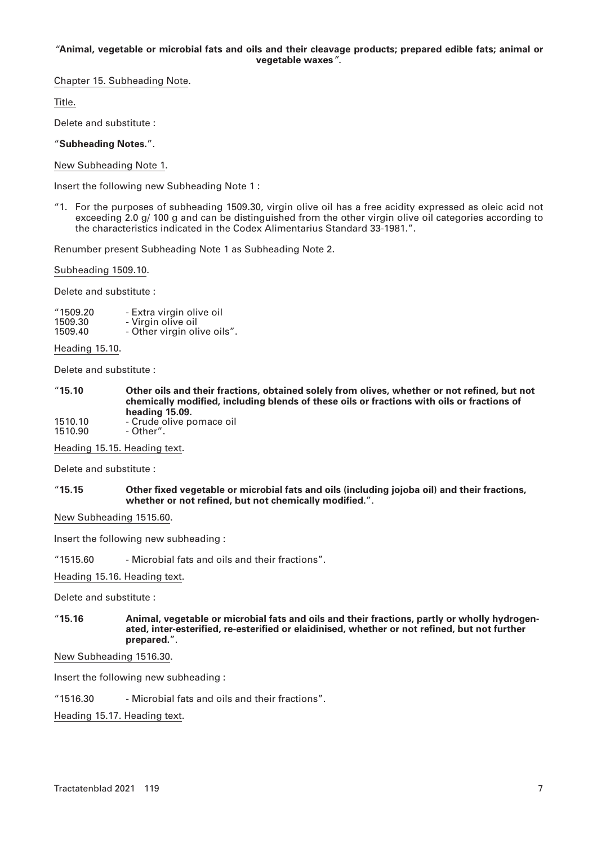# *"***Animal, vegetable or microbial fats and oils and their cleavage products; prepared edible fats; animal or vegetable waxes***".*

Chapter 15. Subheading Note.

Title.

Delete and substitute :

# "**Subheading Notes.**".

## New Subheading Note 1.

Insert the following new Subheading Note 1 :

"1. For the purposes of subheading 1509.30, virgin olive oil has a free acidity expressed as oleic acid not exceeding 2.0 g/ 100 g and can be distinguished from the other virgin olive oil categories according to the characteristics indicated in the Codex Alimentarius Standard 33-1981.".

Renumber present Subheading Note 1 as Subheading Note 2.

Subheading 1509.10.

Delete and substitute :

| "1509.20 | - Extra virgin olive oil    |
|----------|-----------------------------|
| 1509.30  | - Virgin olive oil          |
| 1509.40  | - Other virgin olive oils". |

Heading 15.10.

Delete and substitute :

- "**15.10 Other oils and their fractions, obtained solely from olives, whether or not refined, but not chemically modified, including blends of these oils or fractions with oils or fractions of heading 15.09.** 1510.10 - Crude olive pomace oil<br>1510.90 - Other".
- Other".

Heading 15.15. Heading text.

Delete and substitute :

"**15.15 Other fixed vegetable or microbial fats and oils (including jojoba oil) and their fractions, whether or not refined, but not chemically modified.**".

New Subheading 1515.60.

Insert the following new subheading :

"1515.60 - Microbial fats and oils and their fractions".

Heading 15.16. Heading text.

Delete and substitute :

"**15.16 Animal, vegetable or microbial fats and oils and their fractions, partly or wholly hydrogenated, inter-esterified, re-esterified or elaidinised, whether or not refined, but not further prepared.**".

New Subheading 1516.30.

Insert the following new subheading :

"1516.30 - Microbial fats and oils and their fractions".

Heading 15.17. Heading text.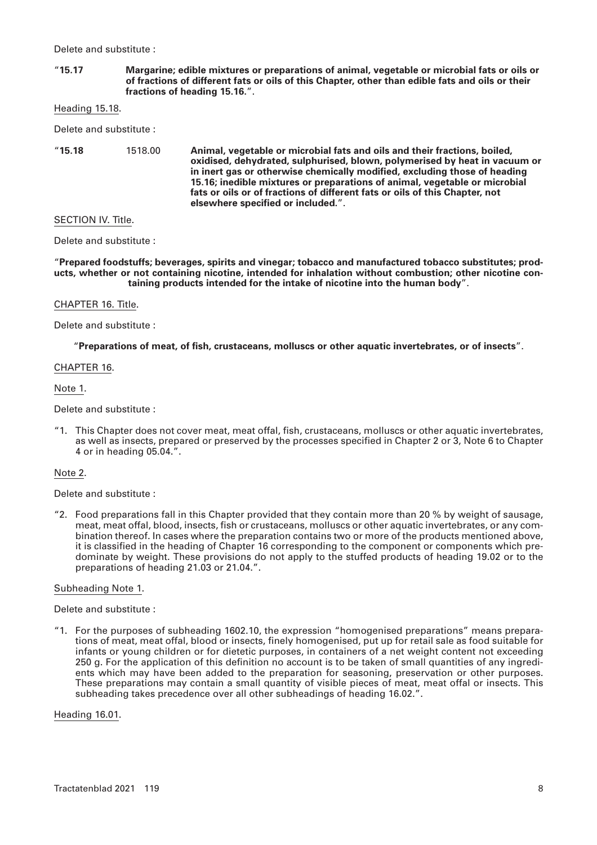Delete and substitute :

"**15.17 Margarine; edible mixtures or preparations of animal, vegetable or microbial fats or oils or of fractions of different fats or oils of this Chapter, other than edible fats and oils or their fractions of heading 15.16.**".

## Heading 15.18.

Delete and substitute :

| "15.18" | 1518.00 | Animal, vegetable or microbial fats and oils and their fractions, boiled,<br>oxidised, dehydrated, sulphurised, blown, polymerised by heat in vacuum or<br>in inert gas or otherwise chemically modified, excluding those of heading<br>15.16; inedible mixtures or preparations of animal, vegetable or microbial<br>fats or oils or of fractions of different fats or oils of this Chapter, not<br>elsewhere specified or included.". |
|---------|---------|-----------------------------------------------------------------------------------------------------------------------------------------------------------------------------------------------------------------------------------------------------------------------------------------------------------------------------------------------------------------------------------------------------------------------------------------|
|         |         |                                                                                                                                                                                                                                                                                                                                                                                                                                         |

## SECTION IV. Title.

Delete and substitute :

"**Prepared foodstuffs; beverages, spirits and vinegar; tobacco and manufactured tobacco substitutes; products, whether or not containing nicotine, intended for inhalation without combustion; other nicotine containing products intended for the intake of nicotine into the human body**".

# CHAPTER 16. Title.

## Delete and substitute :

"**Preparations of meat, of fish, crustaceans, molluscs or other aquatic invertebrates, or of insects**".

## CHAPTER 16.

### Note 1.

Delete and substitute :

"1. This Chapter does not cover meat, meat offal, fish, crustaceans, molluscs or other aquatic invertebrates, as well as insects, prepared or preserved by the processes specified in Chapter 2 or 3, Note 6 to Chapter 4 or in heading 05.04.".

# Note 2.

## Delete and substitute :

"2. Food preparations fall in this Chapter provided that they contain more than 20 % by weight of sausage, meat, meat offal, blood, insects, fish or crustaceans, molluscs or other aquatic invertebrates, or any combination thereof. In cases where the preparation contains two or more of the products mentioned above, it is classified in the heading of Chapter 16 corresponding to the component or components which predominate by weight. These provisions do not apply to the stuffed products of heading 19.02 or to the preparations of heading 21.03 or 21.04.".

# Subheading Note 1.

## Delete and substitute :

"1. For the purposes of subheading 1602.10, the expression "homogenised preparations" means preparations of meat, meat offal, blood or insects, finely homogenised, put up for retail sale as food suitable for infants or young children or for dietetic purposes, in containers of a net weight content not exceeding 250 g. For the application of this definition no account is to be taken of small quantities of any ingredients which may have been added to the preparation for seasoning, preservation or other purposes. These preparations may contain a small quantity of visible pieces of meat, meat offal or insects. This subheading takes precedence over all other subheadings of heading 16.02.".

Heading 16.01.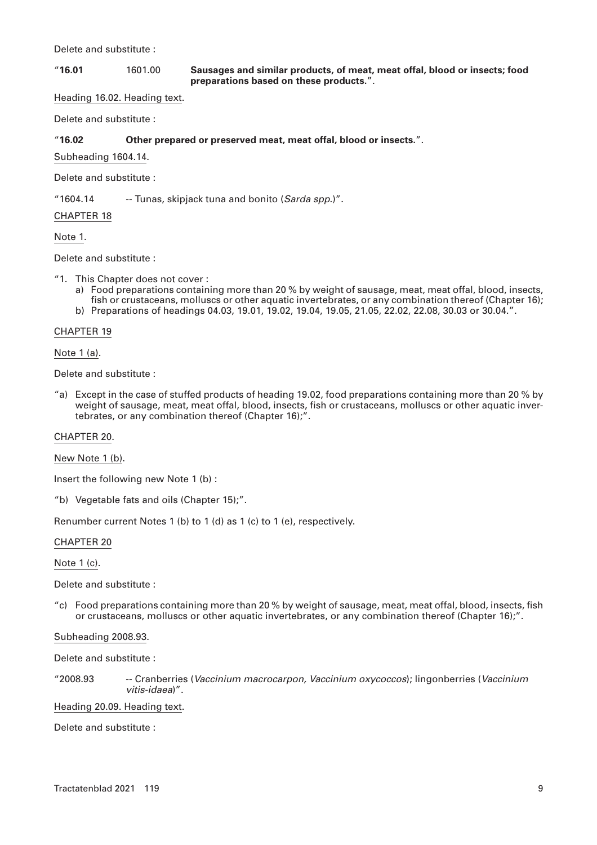Delete and substitute :

"**16.01** 1601.00 **Sausages and similar products, of meat, meat offal, blood or insects; food preparations based on these products.**".

Heading 16.02. Heading text.

Delete and substitute :

"**16.02 Other prepared or preserved meat, meat offal, blood or insects.**".

Subheading 1604.14.

Delete and substitute :

"1604.14 -- Tunas, skipjack tuna and bonito (*Sarda spp*.)".

CHAPTER 18

Note 1.

Delete and substitute :

- "1. This Chapter does not cover :
	- a) Food preparations containing more than 20 % by weight of sausage, meat, meat offal, blood, insects, fish or crustaceans, molluscs or other aquatic invertebrates, or any combination thereof (Chapter 16);
	- b) Preparations of headings 04.03, 19.01, 19.02, 19.04, 19.05, 21.05, 22.02, 22.08, 30.03 or 30.04.".

## CHAPTER 19

Note 1 (a).

Delete and substitute :

"a) Except in the case of stuffed products of heading 19.02, food preparations containing more than 20 % by weight of sausage, meat, meat offal, blood, insects, fish or crustaceans, molluscs or other aquatic invertebrates, or any combination thereof (Chapter 16);".

#### CHAPTER 20.

New Note 1 (b).

Insert the following new Note 1 (b) :

"b) Vegetable fats and oils (Chapter 15);".

Renumber current Notes 1 (b) to 1 (d) as 1 (c) to 1 (e), respectively.

## CHAPTER 20

Note 1 (c).

Delete and substitute :

"c) Food preparations containing more than 20 % by weight of sausage, meat, meat offal, blood, insects, fish or crustaceans, molluscs or other aquatic invertebrates, or any combination thereof (Chapter 16);".

Subheading 2008.93.

Delete and substitute :

"2008.93 -- Cranberries (*Vaccinium macrocarpon, Vaccinium oxycoccos*); lingonberries (*Vaccinium vitis-idaea*)".

#### Heading 20.09. Heading text.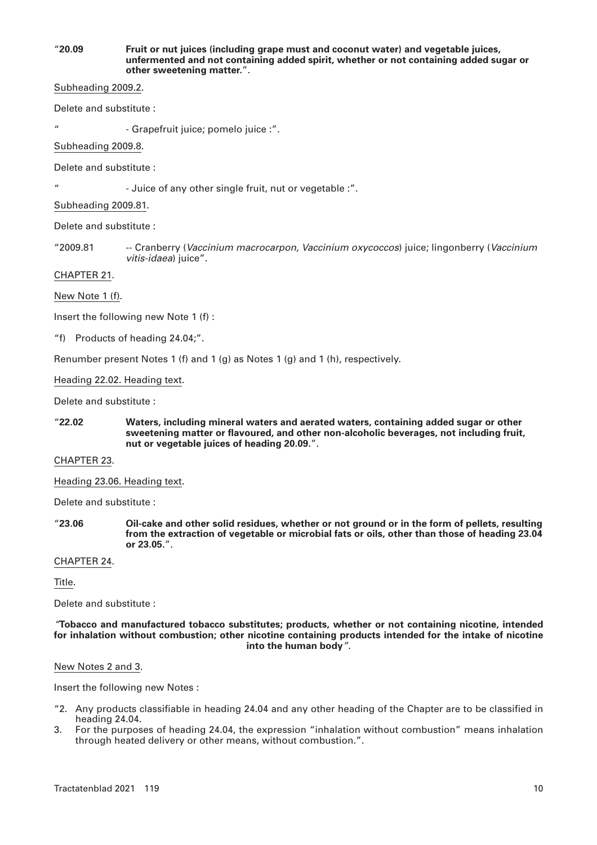#### "**20.09 Fruit or nut juices (including grape must and coconut water) and vegetable juices, unfermented and not containing added spirit, whether or not containing added sugar or other sweetening matter.**".

Subheading 2009.2.

Delete and substitute :

- Grapefruit juice; pomelo juice :".

Subheading 2009.8.

Delete and substitute :

" - Juice of any other single fruit, nut or vegetable :".

Subheading 2009.81.

Delete and substitute :

"2009.81 -- Cranberry (*Vaccinium macrocarpon, Vaccinium oxycoccos*) juice; lingonberry (*Vaccinium vitis-idaea*) juice".

# CHAPTER 21.

New Note 1 (f).

Insert the following new Note 1 (f) :

"f) Products of heading 24.04;".

Renumber present Notes 1 (f) and 1 (g) as Notes 1 (g) and 1 (h), respectively.

Heading 22.02. Heading text.

Delete and substitute :

"**22.02 Waters, including mineral waters and aerated waters, containing added sugar or other sweetening matter or flavoured, and other non-alcoholic beverages, not including fruit, nut or vegetable juices of heading 20.09.**".

CHAPTER 23.

Heading 23.06. Heading text.

Delete and substitute :

"**23.06 Oil-cake and other solid residues, whether or not ground or in the form of pellets, resulting from the extraction of vegetable or microbial fats or oils, other than those of heading 23.04 or 23.05.**".

#### CHAPTER 24.

Title.

Delete and substitute :

*"***Tobacco and manufactured tobacco substitutes; products, whether or not containing nicotine, intended for inhalation without combustion; other nicotine containing products intended for the intake of nicotine into the human body***".*

New Notes 2 and 3.

Insert the following new Notes :

- "2. Any products classifiable in heading 24.04 and any other heading of the Chapter are to be classified in heading 24.04.
- 3. For the purposes of heading 24.04, the expression "inhalation without combustion" means inhalation through heated delivery or other means, without combustion.".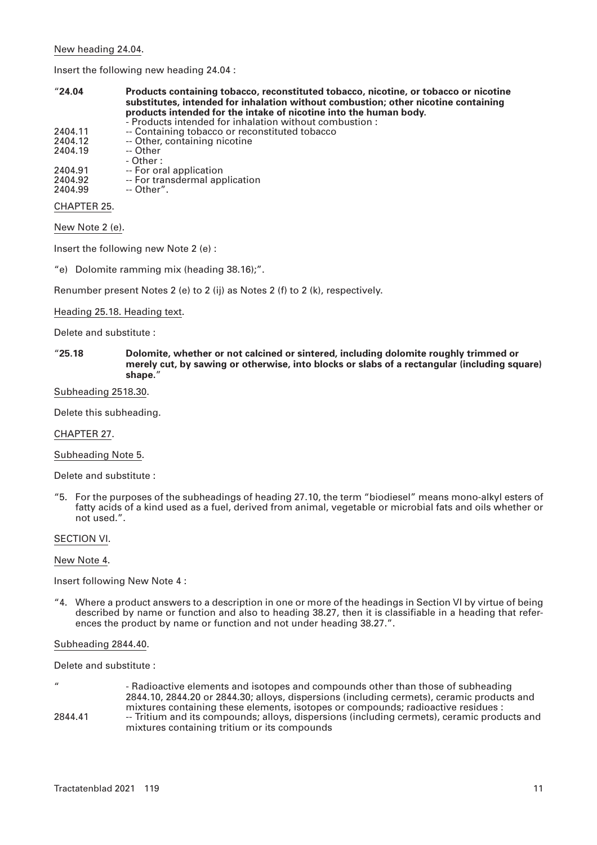Insert the following new heading 24.04 :

| "24.04"                             | Products containing tobacco, reconstituted tobacco, nicotine, or tobacco or nicotine<br>substitutes, intended for inhalation without combustion; other nicotine containing<br>products intended for the intake of nicotine into the human body.<br>- Products intended for inhalation without combustion: |
|-------------------------------------|-----------------------------------------------------------------------------------------------------------------------------------------------------------------------------------------------------------------------------------------------------------------------------------------------------------|
| 2404.11                             | -- Containing tobacco or reconstituted tobacco                                                                                                                                                                                                                                                            |
| 2404.12                             | -- Other, containing nicotine                                                                                                                                                                                                                                                                             |
| 2404.19                             | -- Other<br>$-$ Other :                                                                                                                                                                                                                                                                                   |
| 2404.91                             | -- For oral application                                                                                                                                                                                                                                                                                   |
| 2404.92<br>2404.99                  | -- For transdermal application<br>-- Other".                                                                                                                                                                                                                                                              |
| $\bigcap_{n=1}$ $\bigcap_{n=1}^{n}$ |                                                                                                                                                                                                                                                                                                           |

CHAPTER 25.

New Note 2 (e).

Insert the following new Note 2 (e) :

"e) Dolomite ramming mix (heading 38.16);".

Renumber present Notes 2 (e) to 2 (ij) as Notes 2 (f) to 2 (k), respectively.

Heading 25.18. Heading text.

Delete and substitute :

"**25.18 Dolomite, whether or not calcined or sintered, including dolomite roughly trimmed or merely cut, by sawing or otherwise, into blocks or slabs of a rectangular (including square) shape.**"

Subheading 2518.30.

Delete this subheading.

CHAPTER 27.

Subheading Note 5.

Delete and substitute :

"5. For the purposes of the subheadings of heading 27.10, the term "biodiesel" means mono-alkyl esters of fatty acids of a kind used as a fuel, derived from animal, vegetable or microbial fats and oils whether or not used.".

## SECTION VI.

New Note 4.

Insert following New Note 4 :

"4. Where a product answers to a description in one or more of the headings in Section VI by virtue of being described by name or function and also to heading 38.27, then it is classifiable in a heading that references the product by name or function and not under heading 38.27.".

#### Subheading 2844.40.

Delete and substitute :

" - Radioactive elements and isotopes and compounds other than those of subheading 2844.10, 2844.20 or 2844.30; alloys, dispersions (including cermets), ceramic products and mixtures containing these elements, isotopes or compounds; radioactive residues : 2844.41 --- Tritium and its compounds; alloys, dispersions (including cermets), ceramic products and mixtures containing tritium or its compounds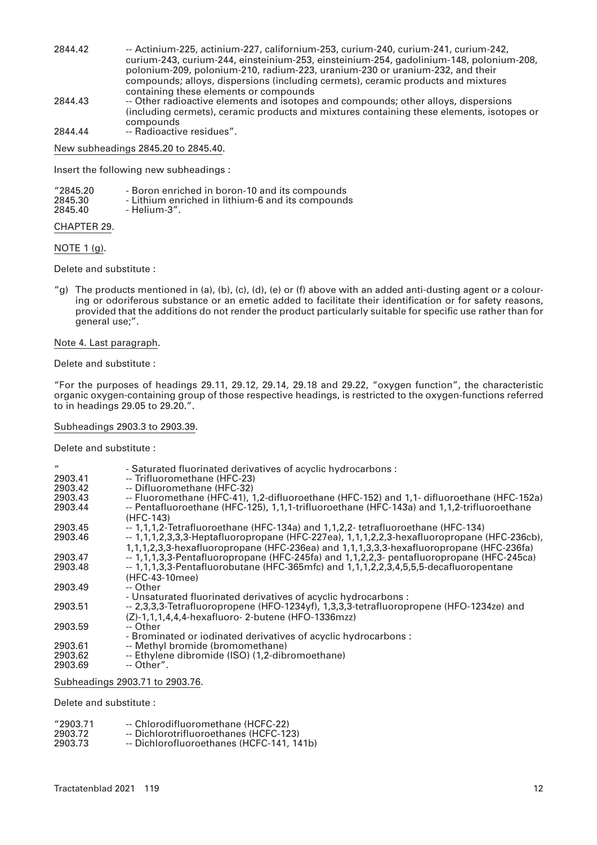- 2844.42 -- Actinium-225, actinium-227, californium-253, curium-240, curium-241, curium-242, curium-243, curium-244, einsteinium-253, einsteinium-254, gadolinium-148, polonium-208, polonium-209, polonium-210, radium-223, uranium-230 or uranium-232, and their compounds; alloys, dispersions (including cermets), ceramic products and mixtures containing these elements or compounds
- 2844.43 -- Other radioactive elements and isotopes and compounds; other alloys, dispersions (including cermets), ceramic products and mixtures containing these elements, isotopes or compounds
- 2844.44 -- Radioactive residues".

New subheadings 2845.20 to 2845.40.

Insert the following new subheadings :

| "2845.20 |  |  | - Boron enriched in boron-10 and its compounds |
|----------|--|--|------------------------------------------------|
| $\cdots$ |  |  |                                                |

- 2845.30 Lithium enriched in lithium-6 and its compounds<br>2845.40 Helium-3".
	- Helium-3".

## CHAPTER 29.

NOTE 1 (g).

Delete and substitute :

"g) The products mentioned in (a), (b), (c), (d), (e) or (f) above with an added anti-dusting agent or a colouring or odoriferous substance or an emetic added to facilitate their identification or for safety reasons, provided that the additions do not render the product particularly suitable for specific use rather than for general use;".

# Note 4. Last paragraph.

Delete and substitute :

"For the purposes of headings 29.11, 29.12, 29.14, 29.18 and 29.22, "oxygen function", the characteristic organic oxygen-containing group of those respective headings, is restricted to the oxygen-functions referred to in headings 29.05 to 29.20.".

## Subheadings 2903.3 to 2903.39.

Delete and substitute :

| $\boldsymbol{\mu}$<br>2903.41<br>2903.42<br>2903.43<br>2903.44 | - Saturated fluorinated derivatives of acyclic hydrocarbons :<br>-- Trifluoromethane (HFC-23)<br>-- Difluoromethane (HFC-32)<br>-- Fluoromethane (HFC-41), 1,2-difluoroethane (HFC-152) and 1,1- difluoroethane (HFC-152a)<br>-- Pentafluoroethane (HFC-125), 1,1,1-trifluoroethane (HFC-143a) and 1,1,2-trifluoroethane<br>(HFC-143) |
|----------------------------------------------------------------|---------------------------------------------------------------------------------------------------------------------------------------------------------------------------------------------------------------------------------------------------------------------------------------------------------------------------------------|
| 2903.45                                                        | -- 1,1,1,2-Tetrafluoroethane (HFC-134a) and 1,1,2,2- tetrafluoroethane (HFC-134)                                                                                                                                                                                                                                                      |
| 2903.46                                                        | -- 1,1,1,2,3,3,3-Heptafluoropropane (HFC-227ea), 1,1,1,2,2,3-hexafluoropropane (HFC-236cb),<br>1,1,1,2,3,3-hexafluoropropane (HFC-236ea) and 1,1,1,3,3,3-hexafluoropropane (HFC-236fa)                                                                                                                                                |
| 2903.47                                                        | -- 1,1,1,3,3-Pentafluoropropane (HFC-245fa) and 1,1,2,2,3- pentafluoropropane (HFC-245ca)                                                                                                                                                                                                                                             |
| 2903.48                                                        | $-1,1,1,3,3$ -Pentafluorobutane (HFC-365mfc) and $1,1,1,2,2,3,4,5,5,5$ -decafluoropentane<br>(HFC-43-10mee)                                                                                                                                                                                                                           |
| 2903.49                                                        | -- Other<br>- Unsaturated fluorinated derivatives of acyclic hydrocarbons :                                                                                                                                                                                                                                                           |
| 2903.51                                                        | -- 2,3,3,3-Tetrafluoropropene (HFO-1234yf), 1,3,3,3-tetrafluoropropene (HFO-1234ze) and<br>(Z)-1,1,1,4,4,4-hexafluoro-2-butene (HFO-1336mzz)                                                                                                                                                                                          |
| 2903.59                                                        | -- Other<br>- Brominated or iodinated derivatives of acyclic hydrocarbons :                                                                                                                                                                                                                                                           |
| 2903.61                                                        | -- Methyl bromide (bromomethane)                                                                                                                                                                                                                                                                                                      |
| 2903.62                                                        | -- Ethylene dibromide (ISO) (1,2-dibromoethane)                                                                                                                                                                                                                                                                                       |
| 2903.69                                                        | -- Other".                                                                                                                                                                                                                                                                                                                            |
|                                                                |                                                                                                                                                                                                                                                                                                                                       |

Subheadings 2903.71 to 2903.76.

| "2903.71" | -- Chlorodifluoromethane (HCFC-22)        |
|-----------|-------------------------------------------|
| 2903.72   | -- Dichlorotrifluoroethanes (HCFC-123)    |
| 2903.73   | -- Dichlorofluoroethanes (HCFC-141, 141b) |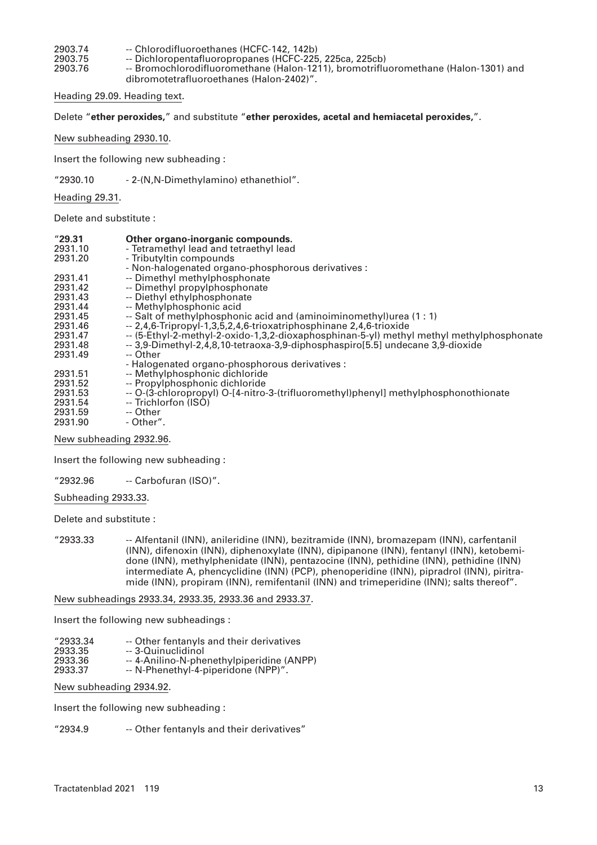- 2903.74 -- Chlorodifluoroethanes (HCFC-142, 142b)<br>2903.75 -- Dichloropentafluoropropanes (HCFC-225
	-
- 2903.75 -- Dichloropentafluoropropanes (HCFC-225, 225ca, 225cb) -- Bromochlorodifluoromethane (Halon-1211), bromotrifluoromethane (Halon-1301) and dibromotetrafluoroethanes (Halon-2402)".

Heading 29.09. Heading text.

## Delete "**ether peroxides,**" and substitute "**ether peroxides, acetal and hemiacetal peroxides,**".

New subheading 2930.10.

Insert the following new subheading :

## "2930.10 - 2-(N,N-Dimethylamino) ethanethiol".

Heading 29.31.

Delete and substitute :

| "29.31"                 | Other organo-inorganic compounds.                                                        |
|-------------------------|------------------------------------------------------------------------------------------|
| 2931.10                 | - Tetramethyl lead and tetraethyl lead                                                   |
| 2931.20                 | - Tributyltin compounds                                                                  |
|                         | - Non-halogenated organo-phosphorous derivatives :                                       |
| 2931.41                 | -- Dimethyl methylphosphonate                                                            |
| 2931.42                 | -- Dimethyl propylphosphonate                                                            |
| 2931.43                 | -- Diethyl ethylphosphonate                                                              |
| 2931.44                 | -- Methylphosphonic acid                                                                 |
| 2931.45                 | -- Salt of methylphosphonic acid and (aminoiminomethyl)urea (1 : 1)                      |
| 2931.46                 | -- 2,4,6-Tripropyl-1,3,5,2,4,6-trioxatriphosphinane 2,4,6-trioxide                       |
| 2931.47                 | -- (5-Ethyl-2-methyl-2-oxido-1,3,2-dioxaphosphinan-5-yl) methyl methyl methylphosphonate |
| 2931.48                 | -- 3,9-Dimethyl-2,4,8,10-tetraoxa-3,9-diphosphaspiro[5.5] undecane 3,9-dioxide           |
| 2931.49                 | -- Other                                                                                 |
|                         | - Halogenated organo-phosphorous derivatives :                                           |
| 2931.51                 | -- Methylphosphonic dichloride                                                           |
| 2931.52                 | -- Propylphosphonic dichloride                                                           |
| 2931.53                 | -- O-(3-chloropropyl) O-[4-nitro-3-(trifluoromethyl)phenyl] methylphosphonothionate      |
| 2931.54                 | -- Trichlorfon (ISO)                                                                     |
| 2931.59                 | -- Other                                                                                 |
| 2931.90                 | - Other".                                                                                |
| New subheading 2932.96. |                                                                                          |

Insert the following new subheading :

"2932.96 -- Carbofuran (ISO)".

Subheading 2933.33.

Delete and substitute :

"2933.33 -- Alfentanil (INN), anileridine (INN), bezitramide (INN), bromazepam (INN), carfentanil (INN), difenoxin (INN), diphenoxylate (INN), dipipanone (INN), fentanyl (INN), ketobemidone (INN), methylphenidate (INN), pentazocine (INN), pethidine (INN), pethidine (INN) intermediate A, phencyclidine (INN) (PCP), phenoperidine (INN), pipradrol (INN), piritramide (INN), propiram (INN), remifentanil (INN) and trimeperidine (INN); salts thereof".

# New subheadings 2933.34, 2933.35, 2933.36 and 2933.37.

Insert the following new subheadings :

- "2933.34 -- Other fentanyls and their derivatives
- 2933.35 -- 3-Quinuclidinol<br>2933.36 -- 4-Anilino-N-phe
- 2933.36 -- 4-Anilino-N-phenethylpiperidine (ANPP)<br>2933.37 -- N-Phenethyl-4-piperidone (NPP)".
- -- N-Phenethyl-4-piperidone (NPP)".

New subheading 2934.92.

Insert the following new subheading :

"2934.9 -- Other fentanyls and their derivatives"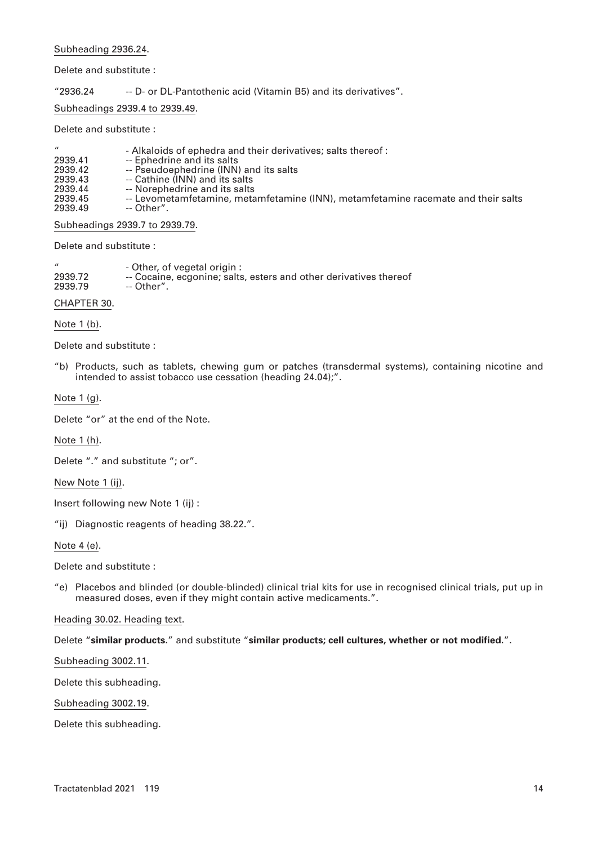# Subheading 2936.24.

Delete and substitute :

# "2936.24 -- D- or DL-Pantothenic acid (Vitamin B5) and its derivatives".

Subheadings 2939.4 to 2939.49.

Delete and substitute :

| $\boldsymbol{\mu}$ | - Alkaloids of ephedra and their derivatives; salts thereof :                     |
|--------------------|-----------------------------------------------------------------------------------|
| 2939.41            | -- Ephedrine and its salts                                                        |
| 2939.42            | -- Pseudoephedrine (INN) and its salts                                            |
| 2939.43            | -- Cathine (INN) and its salts                                                    |
| 2939.44            | -- Norephedrine and its salts                                                     |
| 2939.45            | -- Levometamfetamine, metamfetamine (INN), metamfetamine racemate and their salts |
| 2939.49            | $-$ Other".                                                                       |

Subheadings 2939.7 to 2939.79.

Delete and substitute :

| $\prime$ | - Other, of vegetal origin :                                      |
|----------|-------------------------------------------------------------------|
| 2939.72  | -- Cocaine, ecgonine; salts, esters and other derivatives thereof |
| 2939.79  | -- Other".                                                        |
|          |                                                                   |

## CHAPTER 30.

Note 1 (b).

Delete and substitute :

"b) Products, such as tablets, chewing gum or patches (transdermal systems), containing nicotine and intended to assist tobacco use cessation (heading 24.04);".

Note 1 (g).

Delete "or" at the end of the Note.

Note 1 (h).

Delete "." and substitute "; or".

New Note 1 (ij).

Insert following new Note 1 (ij) :

"ij) Diagnostic reagents of heading 38.22.".

Note 4 (e).

Delete and substitute :

"e) Placebos and blinded (or double-blinded) clinical trial kits for use in recognised clinical trials, put up in measured doses, even if they might contain active medicaments.".

Heading 30.02. Heading text.

Delete "**similar products.**" and substitute "**similar products; cell cultures, whether or not modified.**".

Subheading 3002.11.

Delete this subheading.

Subheading 3002.19.

Delete this subheading.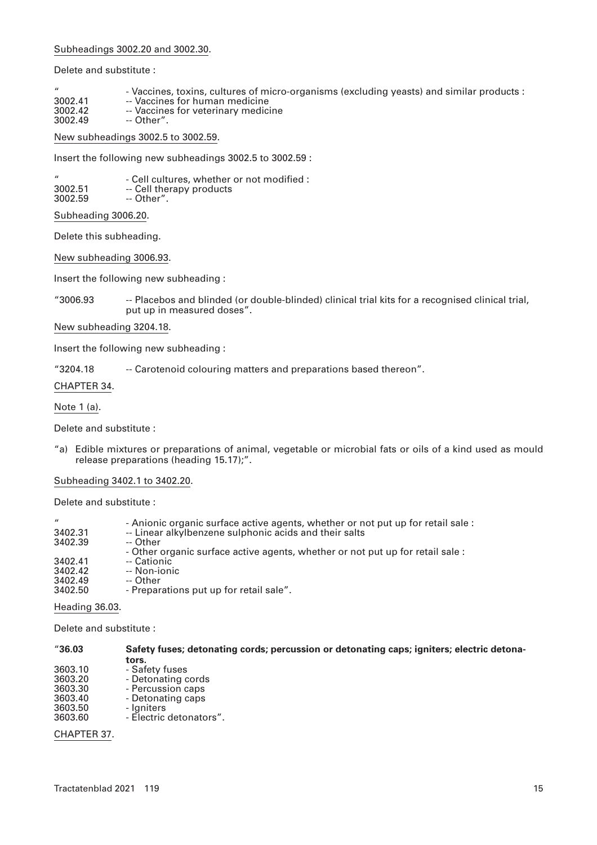# Subheadings 3002.20 and 3002.30.

Delete and substitute :

- " Vaccines, toxins, cultures of micro-organisms (excluding yeasts) and similar products :
- 3002.41 -- Vaccines for human medicine<br>3002.42 -- Vaccines for veterinary medici
- 3002.42 -- Vaccines for veterinary medicine<br>3002.49 -- Other". -- Other".

New subheadings 3002.5 to 3002.59.

Insert the following new subheadings 3002.5 to 3002.59 :

" - Cell cultures, whether or not modified :<br>3002.51 - Cell therapy products 3002.51 -- Cell therapy products<br>3002.59 -- Other".  $-$  Other".

Subheading 3006.20.

Delete this subheading.

New subheading 3006.93.

Insert the following new subheading :

"3006.93 -- Placebos and blinded (or double-blinded) clinical trial kits for a recognised clinical trial, put up in measured doses".

New subheading 3204.18.

Insert the following new subheading :

"3204.18 -- Carotenoid colouring matters and preparations based thereon".

CHAPTER 34.

Note 1 (a).

Delete and substitute :

"a) Edible mixtures or preparations of animal, vegetable or microbial fats or oils of a kind used as mould release preparations (heading 15.17);".

## Subheading 3402.1 to 3402.20.

Delete and substitute :

| $\mathbf{u}$ | - Anionic organic surface active agents, whether or not put up for retail sale: |
|--------------|---------------------------------------------------------------------------------|
| 3402.31      | -- Linear alkylbenzene sulphonic acids and their salts                          |
| 3402.39      | -- Other                                                                        |
|              | - Other organic surface active agents, whether or not put up for retail sale:   |
| 3402.41      | -- Cationic                                                                     |
| 3402.42      | -- Non-ionic                                                                    |
| 3402.49      | -- Other                                                                        |
| 3402.50      | - Preparations put up for retail sale".                                         |
|              |                                                                                 |

Heading 36.03.

| "36.03"     | Safety fuses; detonating cords; percussion or detonating caps; igniters; electric detona-<br>tors. |
|-------------|----------------------------------------------------------------------------------------------------|
| 3603.10     | - Safety fuses                                                                                     |
| 3603.20     | - Detonating cords                                                                                 |
| 3603.30     | - Percussion caps                                                                                  |
| 3603.40     | - Detonating caps                                                                                  |
| 3603.50     | - Igniters                                                                                         |
| 3603.60     | - Electric detonators".                                                                            |
| CHAPTER 37. |                                                                                                    |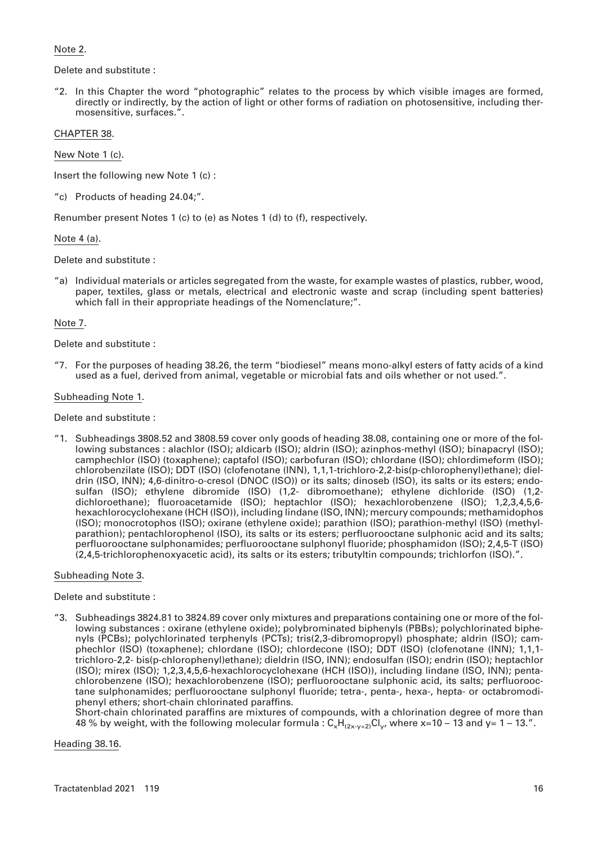# Note 2.

Delete and substitute :

"2. In this Chapter the word "photographic" relates to the process by which visible images are formed, directly or indirectly, by the action of light or other forms of radiation on photosensitive, including thermosensitive, surfaces.".

# CHAPTER 38.

New Note 1 (c).

Insert the following new Note 1 (c) :

"c) Products of heading 24.04;".

Renumber present Notes 1 (c) to (e) as Notes 1 (d) to (f), respectively.

## Note 4 (a).

Delete and substitute :

"a) Individual materials or articles segregated from the waste, for example wastes of plastics, rubber, wood, paper, textiles, glass or metals, electrical and electronic waste and scrap (including spent batteries) which fall in their appropriate headings of the Nomenclature;".

## Note 7.

#### Delete and substitute :

"7. For the purposes of heading 38.26, the term "biodiesel" means mono-alkyl esters of fatty acids of a kind used as a fuel, derived from animal, vegetable or microbial fats and oils whether or not used.".

## Subheading Note 1.

Delete and substitute :

"1. Subheadings 3808.52 and 3808.59 cover only goods of heading 38.08, containing one or more of the following substances : alachlor (ISO); aldicarb (ISO); aldrin (ISO); azinphos-methyl (ISO); binapacryl (ISO); camphechlor (ISO) (toxaphene); captafol (ISO); carbofuran (ISO); chlordane (ISO); chlordimeform (ISO); chlorobenzilate (ISO); DDT (ISO) (clofenotane (INN), 1,1,1-trichloro-2,2-bis(p-chlorophenyl)ethane); dieldrin (ISO, INN); 4,6-dinitro-o-cresol (DNOC (ISO)) or its salts; dinoseb (ISO), its salts or its esters; endosulfan (ISO); ethylene dibromide (ISO) (1,2- dibromoethane); ethylene dichloride (ISO) (1,2 dichloroethane); fluoroacetamide (ISO); heptachlor (ISO); hexachlorobenzene (ISO); 1,2,3,4,5,6 hexachlorocyclohexane (HCH (ISO)), including lindane (ISO, INN); mercury compounds; methamidophos (ISO); monocrotophos (ISO); oxirane (ethylene oxide); parathion (ISO); parathion-methyl (ISO) (methylparathion); pentachlorophenol (ISO), its salts or its esters; perfluorooctane sulphonic acid and its salts; perfluorooctane sulphonamides; perfluorooctane sulphonyl fluoride; phosphamidon (ISO); 2,4,5-T (ISO) (2,4,5-trichlorophenoxyacetic acid), its salts or its esters; tributyltin compounds; trichlorfon (ISO).".

## Subheading Note 3.

Delete and substitute :

"3. Subheadings 3824.81 to 3824.89 cover only mixtures and preparations containing one or more of the following substances : oxirane (ethylene oxide); polybrominated biphenyls (PBBs); polychlorinated biphenyls (PCBs); polychlorinated terphenyls (PCTs); tris(2,3-dibromopropyl) phosphate; aldrin (ISO); camphechlor (ISO) (toxaphene); chlordane (ISO); chlordecone (ISO); DDT (ISO) (clofenotane (INN); 1,1,1 trichloro-2,2- bis(p-chlorophenyl)ethane); dieldrin (ISO, INN); endosulfan (ISO); endrin (ISO); heptachlor (ISO); mirex (ISO); 1,2,3,4,5,6-hexachlorocyclohexane (HCH (ISO)), including lindane (ISO, INN); pentachlorobenzene (ISO); hexachlorobenzene (ISO); perfluorooctane sulphonic acid, its salts; perfluorooctane sulphonamides; perfluorooctane sulphonyl fluoride; tetra-, penta-, hexa-, hepta- or octabromodiphenyl ethers; short-chain chlorinated paraffins.

Short-chain chlorinated paraffins are mixtures of compounds, with a chlorination degree of more than 48 % by weight, with the following molecular formula :  $C_xH_{(2x,y+2)}Cl_y$ , where x=10 – 13 and y= 1 – 13.".

Heading 38.16.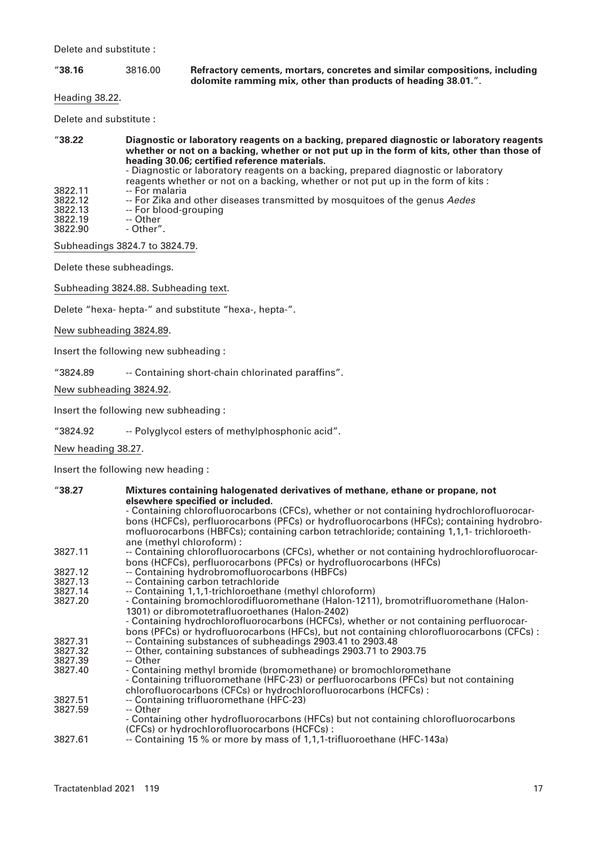Delete and substitute :

## "**38.16** 3816.00 **Refractory cements, mortars, concretes and similar compositions, including dolomite ramming mix, other than products of heading 38.01.**".

Heading 38.22.

Delete and substitute :

| "38.22" | Diagnostic or laboratory reagents on a backing, prepared diagnostic or laboratory reagents<br>whether or not on a backing, whether or not put up in the form of kits, other than those of<br>heading 30.06; certified reference materials.<br>- Diagnostic or laboratory reagents on a backing, prepared diagnostic or laboratory<br>reagents whether or not on a backing, whether or not put up in the form of kits : |
|---------|------------------------------------------------------------------------------------------------------------------------------------------------------------------------------------------------------------------------------------------------------------------------------------------------------------------------------------------------------------------------------------------------------------------------|
| 3822.11 | -- For malaria                                                                                                                                                                                                                                                                                                                                                                                                         |
| 3822.12 | -- For Zika and other diseases transmitted by mosquitoes of the genus Aedes                                                                                                                                                                                                                                                                                                                                            |
| 3822.13 | -- For blood-grouping                                                                                                                                                                                                                                                                                                                                                                                                  |
| 3822.19 | -- Other                                                                                                                                                                                                                                                                                                                                                                                                               |
| 3822.90 | - Other".                                                                                                                                                                                                                                                                                                                                                                                                              |
|         | Subheadings 3824.7 to 3824.79.                                                                                                                                                                                                                                                                                                                                                                                         |

Delete these subheadings.

Subheading 3824.88. Subheading text.

Delete "hexa- hepta-" and substitute "hexa-, hepta-".

New subheading 3824.89.

Insert the following new subheading :

"3824.89 -- Containing short-chain chlorinated paraffins".

New subheading 3824.92.

Insert the following new subheading :

"3824.92 -- Polyglycol esters of methylphosphonic acid".

New heading 38.27.

Insert the following new heading :

| "38.27" | Mixtures containing halogenated derivatives of methane, ethane or propane, not<br>elsewhere specified or included.                                                                                                                                                                                            |
|---------|---------------------------------------------------------------------------------------------------------------------------------------------------------------------------------------------------------------------------------------------------------------------------------------------------------------|
|         | - Containing chlorofluorocarbons (CFCs), whether or not containing hydrochlorofluorocar-<br>bons (HCFCs), perfluorocarbons (PFCs) or hydrofluorocarbons (HFCs); containing hydrobro-<br>mofluorocarbons (HBFCs); containing carbon tetrachloride; containing 1,1,1-trichloroeth-<br>ane (methyl chloroform) : |
| 3827.11 | -- Containing chlorofluorocarbons (CFCs), whether or not containing hydrochlorofluorocar-<br>bons (HCFCs), perfluorocarbons (PFCs) or hydrofluorocarbons (HFCs)                                                                                                                                               |
| 3827.12 | -- Containing hydrobromofluorocarbons (HBFCs)                                                                                                                                                                                                                                                                 |
| 3827.13 | -- Containing carbon tetrachloride                                                                                                                                                                                                                                                                            |
| 3827.14 | -- Containing 1,1,1-trichloroethane (methyl chloroform)                                                                                                                                                                                                                                                       |
| 3827.20 | - Containing bromochlorodifluoromethane (Halon-1211), bromotrifluoromethane (Halon-<br>1301) or dibromotetrafluoroethanes (Halon-2402)                                                                                                                                                                        |
|         | - Containing hydrochlorofluorocarbons (HCFCs), whether or not containing perfluorocar-<br>bons (PFCs) or hydrofluorocarbons (HFCs), but not containing chlorofluorocarbons (CFCs) :                                                                                                                           |
| 3827.31 | -- Containing substances of subheadings 2903.41 to 2903.48                                                                                                                                                                                                                                                    |
| 3827.32 | -- Other, containing substances of subheadings 2903.71 to 2903.75                                                                                                                                                                                                                                             |
| 3827.39 | -- Other                                                                                                                                                                                                                                                                                                      |
| 3827.40 | - Containing methyl bromide (bromomethane) or bromochloromethane<br>- Containing trifluoromethane (HFC-23) or perfluorocarbons (PFCs) but not containing                                                                                                                                                      |
|         | chlorofluorocarbons (CFCs) or hydrochlorofluorocarbons (HCFCs) :                                                                                                                                                                                                                                              |
| 3827.51 | -- Containing trifluoromethane (HFC-23)                                                                                                                                                                                                                                                                       |
| 3827.59 | -- Other<br>- Containing other hydrofluorocarbons (HFCs) but not containing chlorofluorocarbons                                                                                                                                                                                                               |
|         | (CFCs) or hydrochlorofluorocarbons (HCFCs):                                                                                                                                                                                                                                                                   |
| 3827.61 | -- Containing 15 % or more by mass of 1,1,1-trifluoroethane (HFC-143a)                                                                                                                                                                                                                                        |
|         |                                                                                                                                                                                                                                                                                                               |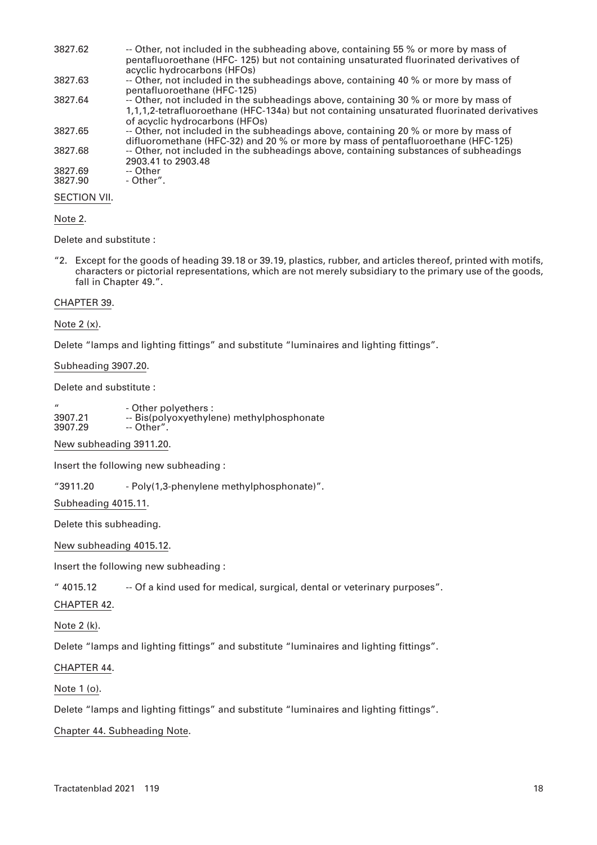- 3827.62 -- Other, not included in the subheading above, containing 55 % or more by mass of pentafluoroethane (HFC- 125) but not containing unsaturated fluorinated derivatives of acyclic hydrocarbons (HFOs)
- 3827.63 -- Óther, not included in the subheadings above, containing 40 % or more by mass of pentafluoroethane (HFC-125)
- 3827.64 --- Other, not included in the subheadings above, containing 30 % or more by mass of 1,1,1,2-tetrafluoroethane (HFC-134a) but not containing unsaturated fluorinated derivatives of acyclic hydrocarbons (HFOs)
- 3827.65 -- Other, not included in the subheadings above, containing 20 % or more by mass of difluoromethane (HFC-32) and 20 % or more by mass of pentafluoroethane (HFC-125) 3827.68 -- Other, not included in the subheadings above, containing substances of subheadings 2903.41 to 2903.48

3827.69 -- Other<br>3827.90 - Other" - Other".

## SECTION VII.

# Note 2.

Delete and substitute :

"2. Except for the goods of heading 39.18 or 39.19, plastics, rubber, and articles thereof, printed with motifs, characters or pictorial representations, which are not merely subsidiary to the primary use of the goods, fall in Chapter 49.".

# CHAPTER 39.

# Note 2 (x).

Delete "lamps and lighting fittings" and substitute "luminaires and lighting fittings".

# Subheading 3907.20.

Delete and substitute :

" - Other polyethers : 3907.21 -- Bis(polyoxyethylene) methylphosphonate 3907.29 -- Other".

New subheading 3911.20.

Insert the following new subheading :

"3911.20 - Poly(1,3-phenylene methylphosphonate)".

Subheading 4015.11.

Delete this subheading.

New subheading 4015.12.

Insert the following new subheading :

" 4015.12 -- Of a kind used for medical, surgical, dental or veterinary purposes".

CHAPTER 42.

Note 2 (k).

Delete "lamps and lighting fittings" and substitute "luminaires and lighting fittings".

# CHAPTER 44.

Note 1 (o).

Delete "lamps and lighting fittings" and substitute "luminaires and lighting fittings".

Chapter 44. Subheading Note.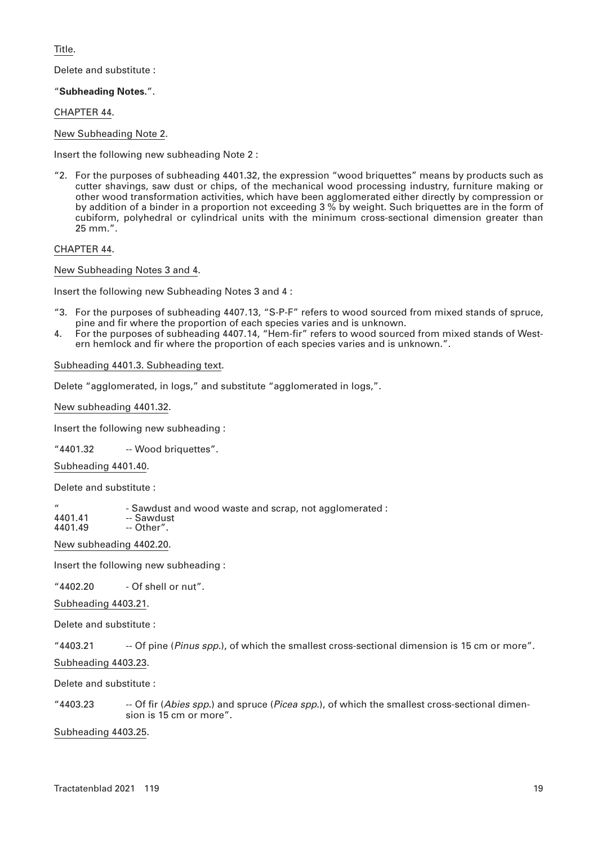Title.

Delete and substitute :

# "**Subheading Notes.**".

CHAPTER 44.

New Subheading Note 2.

Insert the following new subheading Note 2 :

"2. For the purposes of subheading 4401.32, the expression "wood briquettes" means by products such as cutter shavings, saw dust or chips, of the mechanical wood processing industry, furniture making or other wood transformation activities, which have been agglomerated either directly by compression or by addition of a binder in a proportion not exceeding 3 % by weight. Such briquettes are in the form of cubiform, polyhedral or cylindrical units with the minimum cross-sectional dimension greater than 25 mm.".

# CHAPTER 44.

New Subheading Notes 3 and 4.

Insert the following new Subheading Notes 3 and 4 :

- "3. For the purposes of subheading 4407.13, "S-P-F" refers to wood sourced from mixed stands of spruce, pine and fir where the proportion of each species varies and is unknown.
- 4. For the purposes of subheading 4407.14, "Hem-fir" refers to wood sourced from mixed stands of Western hemlock and fir where the proportion of each species varies and is unknown.".

# Subheading 4401.3. Subheading text.

Delete "agglomerated, in logs," and substitute "agglomerated in logs,".

New subheading 4401.32.

Insert the following new subheading :

"4401.32 -- Wood briquettes".

Subheading 4401.40.

Delete and substitute :

- " Sawdust and wood waste and scrap, not agglomerated :<br>4401.41 Sawdust
- 4401.41 -- Sawdust<br>4401.49 -- Other". -- Other".

New subheading 4402.20.

Insert the following new subheading :

"4402.20 - Of shell or nut".

Subheading 4403.21.

Delete and substitute :

"4403.21 -- Of pine (*Pinus spp.*), of which the smallest cross-sectional dimension is 15 cm or more".

Subheading 4403.23.

Delete and substitute :

"4403.23 -- Of fir (*Abies spp*.) and spruce (*Picea spp*.), of which the smallest cross-sectional dimension is 15 cm or more".

Subheading 4403.25.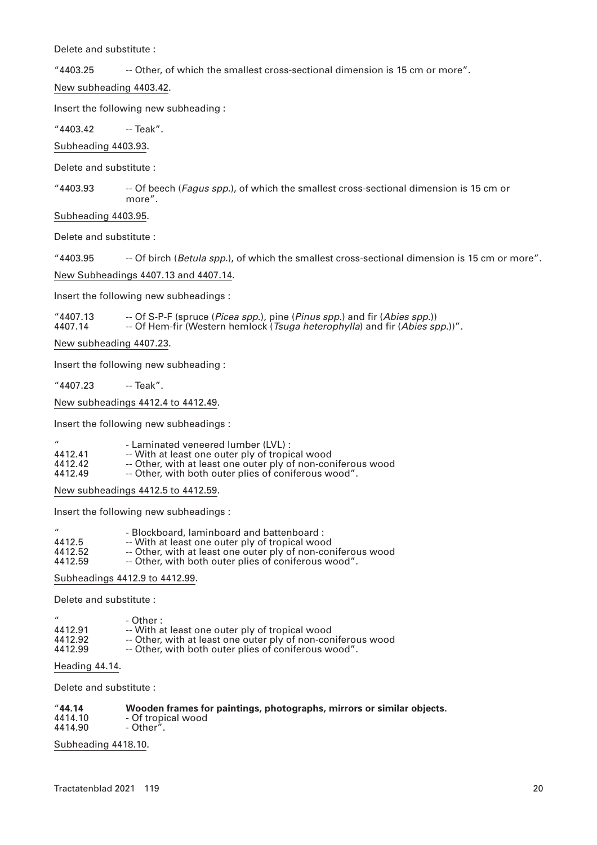Delete and substitute :

"4403.25 -- Other, of which the smallest cross-sectional dimension is 15 cm or more".

New subheading 4403.42.

Insert the following new subheading :

 $"4403.42$  -- Teak".

Subheading 4403.93.

Delete and substitute :

"4403.93 -- Of beech (*Fagus spp*.), of which the smallest cross-sectional dimension is 15 cm or more".

Subheading 4403.95.

Delete and substitute :

"4403.95 -- Of birch (*Betula spp*.), of which the smallest cross-sectional dimension is 15 cm or more".

New Subheadings 4407.13 and 4407.14.

Insert the following new subheadings :

"4407.13 -- Of S-P-F (spruce (*Picea spp*.), pine (*Pinus spp.*) and fir (*Abies spp*.)) 4407.14 -- Of Hem-fir (Western hemlock (*Tsuga heterophylla*) and fir (*Abies spp*.))".

New subheading 4407.23.

Insert the following new subheading :

"4407.23 -- Teak".

New subheadings 4412.4 to 4412.49.

Insert the following new subheadings :

| $\mathbf{u}$ | - Laminated veneered lumber (LVL) :                          |
|--------------|--------------------------------------------------------------|
| 4412.41      | -- With at least one outer ply of tropical wood              |
| 4412.42      | -- Other, with at least one outer ply of non-coniferous wood |
| 4412.49      | -- Other, with both outer plies of coniferous wood".         |

New subheadings 4412.5 to 4412.59.

Insert the following new subheadings :

| $\prime$ | - Blockboard, laminboard and battenboard:                    |
|----------|--------------------------------------------------------------|
| 4412.5   | -- With at least one outer ply of tropical wood              |
| 4412.52  | -- Other, with at least one outer ply of non-coniferous wood |

4412.59 -- Other, with both outer plies of coniferous wood".

Subheadings 4412.9 to 4412.99.

Delete and substitute :

| $\prime$        | - Other :                                                                                                       |
|-----------------|-----------------------------------------------------------------------------------------------------------------|
| 4412.91         | -- With at least one outer ply of tropical wood                                                                 |
| 4412.92         | -- Other, with at least one outer ply of non-coniferous wood                                                    |
| $\sqrt{111000}$ | Other collection to the continue of the collection of the collection of the collection of the collection of the |

4412.99 -- Other, with both outer plies of coniferous wood".

Heading 44.14.

Delete and substitute :

|                    | Wooden frames for paintings, photographs, mirrors or similar objects. |  |
|--------------------|-----------------------------------------------------------------------|--|
| - Of tropical wood |                                                                       |  |
|                    |                                                                       |  |

4414.90 - Other".

Subheading 4418.10.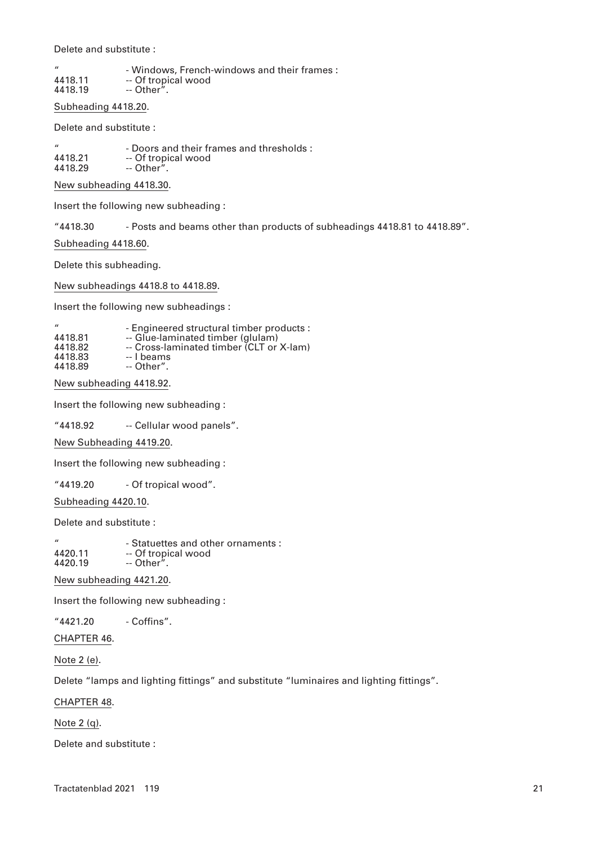Delete and substitute :

| $\prime$ | - Windows, French-windows and their frames: |
|----------|---------------------------------------------|
| 4418.11  | -- Of tropical wood                         |

- 4418.19 -- Other".
- Subheading 4418.20.

Delete and substitute :

" - Doors and their frames and thresholds : 4418.21 -- Of tropical wood 4418.29 -- Other".

New subheading 4418.30.

Insert the following new subheading :

"4418.30 - Posts and beams other than products of subheadings 4418.81 to 4418.89".

Subheading 4418.60.

Delete this subheading.

New subheadings 4418.8 to 4418.89.

Insert the following new subheadings :

| - Engineered structural timber products : |
|-------------------------------------------|
| -- Glue-laminated timber (glulam)         |
| -- Cross-laminated timber (CLT or X-lam)  |
| -- I beams                                |
| -- Other".                                |
|                                           |

New subheading 4418.92.

Insert the following new subheading :

"4418.92 -- Cellular wood panels".

New Subheading 4419.20.

Insert the following new subheading :

"4419.20 - Of tropical wood".

Subheading 4420.10.

Delete and substitute :

" - Statuettes and other ornaments :<br>4420.11 - Of tropical wood 4420.11 -- Of tropical wood 4420.19 -- Other".

New subheading 4421.20.

Insert the following new subheading :

"4421.20 - Coffins".

CHAPTER 46.

Note 2 (e).

Delete "lamps and lighting fittings" and substitute "luminaires and lighting fittings".

CHAPTER 48.

Note 2 (q).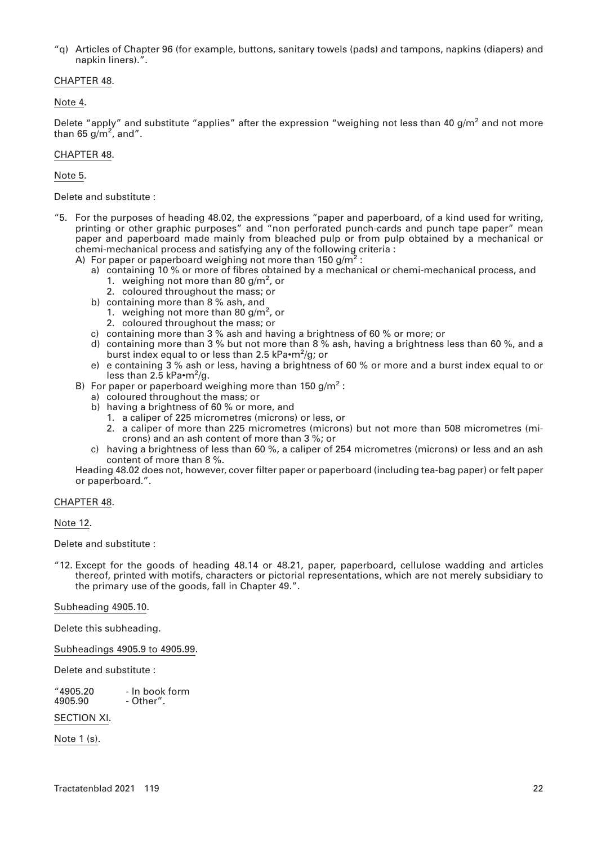"q) Articles of Chapter 96 (for example, buttons, sanitary towels (pads) and tampons, napkins (diapers) and napkin liners).".

# CHAPTER 48.

# Note 4.

Delete "apply" and substitute "applies" after the expression "weighing not less than 40 g/m<sup>2</sup> and not more than 65 g/m<sup>2</sup>, and".

## CHAPTER 48.

Note 5.

Delete and substitute :

- "5. For the purposes of heading 48.02, the expressions "paper and paperboard, of a kind used for writing, printing or other graphic purposes" and "non perforated punch-cards and punch tape paper" mean paper and paperboard made mainly from bleached pulp or from pulp obtained by a mechanical or chemi-mechanical process and satisfying any of the following criteria :
	- A) For paper or paperboard weighing not more than 150  $q/m^2$ :
		- a) containing 10 % or more of fibres obtained by a mechanical or chemi-mechanical process, and
			- 1. weighing not more than 80  $g/m^2$ , or
			- 2. coloured throughout the mass; or
		- b) containing more than 8 % ash, and
			- 1. weighing not more than 80  $g/m^2$ , or
			- 2. coloured throughout the mass; or
		- c) containing more than 3 % ash and having a brightness of 60 % or more; or
		- d) containing more than 3 % but not more than 8 % ash, having a brightness less than 60 %, and a burst index equal to or less than 2.5 kPa•m<sup>2</sup>/g; or
		- e) e containing 3 % ash or less, having a brightness of 60 % or more and a burst index equal to or less than  $2.\overline{5}$  kPa $\cdot$ m<sup>2</sup>/g.
	- B) For paper or paperboard weighing more than  $150 \text{ g/m}^2$ :
		- a) coloured throughout the mass; or
		- b) having a brightness of 60 % or more, and
			- 1. a caliper of 225 micrometres (microns) or less, or
		- 2. a caliper of more than 225 micrometres (microns) but not more than 508 micrometres (microns) and an ash content of more than 3 %; or
		- c) having a brightness of less than 60 %, a caliper of 254 micrometres (microns) or less and an ash content of more than 8 %.

Heading 48.02 does not, however, cover filter paper or paperboard (including tea-bag paper) or felt paper or paperboard.".

## CHAPTER 48.

# Note 12.

Delete and substitute :

"12. Except for the goods of heading 48.14 or 48.21, paper, paperboard, cellulose wadding and articles thereof, printed with motifs, characters or pictorial representations, which are not merely subsidiary to the primary use of the goods, fall in Chapter 49.".

#### Subheading 4905.10.

Delete this subheading.

Subheadings 4905.9 to 4905.99.

Delete and substitute :

"4905.20 - In book form<br>4905.90 - Other". - Other".

# SECTION XI.

Note 1 (s).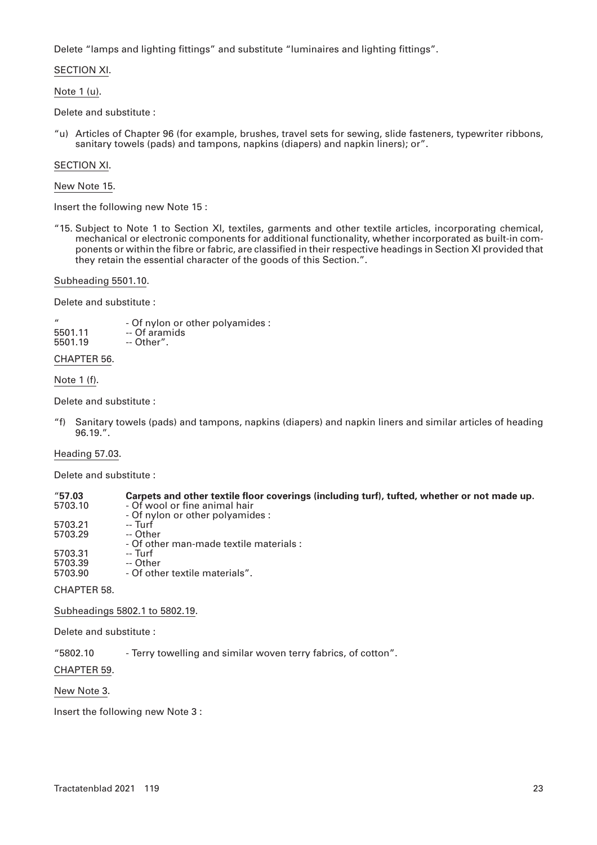Delete "lamps and lighting fittings" and substitute "luminaires and lighting fittings".

SECTION XI.

Note 1 (u).

Delete and substitute :

"u) Articles of Chapter 96 (for example, brushes, travel sets for sewing, slide fasteners, typewriter ribbons, sanitary towels (pads) and tampons, napkins (diapers) and napkin liners); or".

# SECTION XI.

New Note 15.

Insert the following new Note 15 :

"15. Subject to Note 1 to Section XI, textiles, garments and other textile articles, incorporating chemical, mechanical or electronic components for additional functionality, whether incorporated as built-in components or within the fibre or fabric, are classified in their respective headings in Section XI provided that they retain the essential character of the goods of this Section.".

Subheading 5501.10.

Delete and substitute :

" - Of nylon or other polyamides : 5501.11 -- Of aramids<br>5501.19 -- Other". -- Other".

CHAPTER 56.

Note 1 (f).

Delete and substitute :

"f) Sanitary towels (pads) and tampons, napkins (diapers) and napkin liners and similar articles of heading 96.19.".

# Heading 57.03.

Delete and substitute :

| "57.03"     | Carpets and other textile floor coverings (including turf), tufted, whether or not made up. |
|-------------|---------------------------------------------------------------------------------------------|
| 5703.10     | - Of wool or fine animal hair<br>- Of nylon or other polyamides :                           |
| 5703.21     | -- Turf                                                                                     |
| 5703.29     | -- Other                                                                                    |
|             | - Of other man-made textile materials :                                                     |
| 5703.31     | -- Turf                                                                                     |
| 5703.39     | -- Other                                                                                    |
| 5703.90     | - Of other textile materials".                                                              |
| CHAPTER 58. |                                                                                             |

Subheadings 5802.1 to 5802.19.

Delete and substitute :

"5802.10 - Terry towelling and similar woven terry fabrics, of cotton".

CHAPTER 59.

New Note 3.

Insert the following new Note 3 :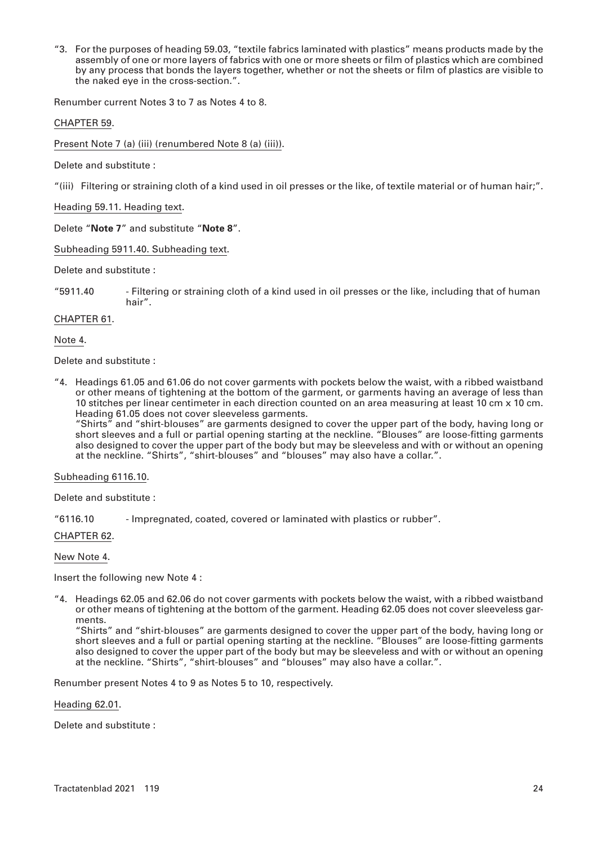"3. For the purposes of heading 59.03, "textile fabrics laminated with plastics" means products made by the assembly of one or more layers of fabrics with one or more sheets or film of plastics which are combined by any process that bonds the layers together, whether or not the sheets or film of plastics are visible to the naked eye in the cross-section.".

Renumber current Notes 3 to 7 as Notes 4 to 8.

CHAPTER 59.

Present Note 7 (a) (iii) (renumbered Note 8 (a) (iii)).

Delete and substitute :

"(iii) Filtering or straining cloth of a kind used in oil presses or the like, of textile material or of human hair;".

Heading 59.11. Heading text.

Delete "**Note 7**" and substitute "**Note 8**".

Subheading 5911.40. Subheading text.

Delete and substitute :

"5911.40 - Filtering or straining cloth of a kind used in oil presses or the like, including that of human hair".

CHAPTER 61.

Note 4.

Delete and substitute :

"4. Headings 61.05 and 61.06 do not cover garments with pockets below the waist, with a ribbed waistband or other means of tightening at the bottom of the garment, or garments having an average of less than 10 stitches per linear centimeter in each direction counted on an area measuring at least 10 cm x 10 cm. Heading 61.05 does not cover sleeveless garments.

"Shirts" and "shirt-blouses" are garments designed to cover the upper part of the body, having long or short sleeves and a full or partial opening starting at the neckline. "Blouses" are loose-fitting garments also designed to cover the upper part of the body but may be sleeveless and with or without an opening at the neckline. "Shirts", "shirt-blouses" and "blouses" may also have a collar.".

# Subheading 6116.10.

Delete and substitute :

"6116.10 - Impregnated, coated, covered or laminated with plastics or rubber".

CHAPTER 62.

#### New Note 4.

Insert the following new Note 4 :

"4. Headings 62.05 and 62.06 do not cover garments with pockets below the waist, with a ribbed waistband or other means of tightening at the bottom of the garment. Heading 62.05 does not cover sleeveless garments.

"Shirts" and "shirt-blouses" are garments designed to cover the upper part of the body, having long or short sleeves and a full or partial opening starting at the neckline. "Blouses" are loose-fitting garments also designed to cover the upper part of the body but may be sleeveless and with or without an opening at the neckline. "Shirts", "shirt-blouses" and "blouses" may also have a collar.".

Renumber present Notes 4 to 9 as Notes 5 to 10, respectively.

Heading 62.01.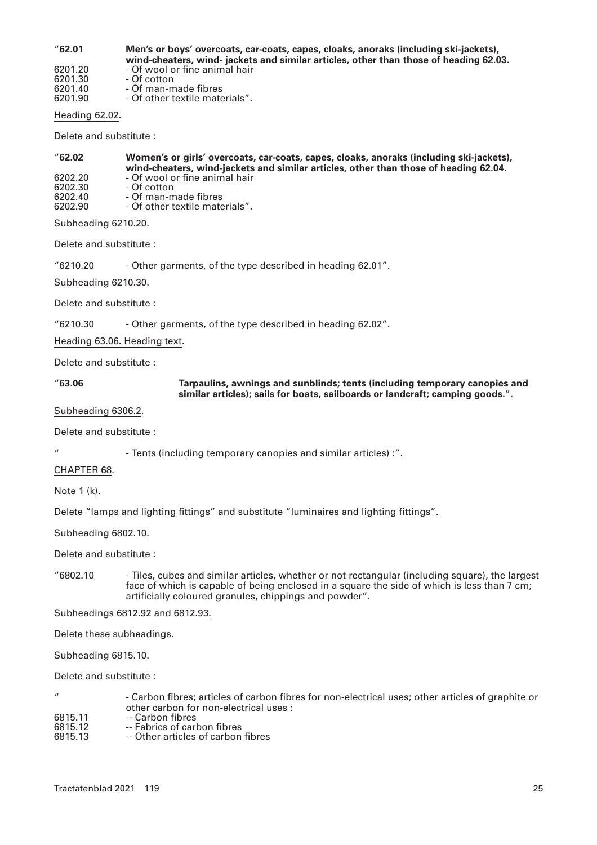| "62.01"    | Men's or boys' overcoats, car-coats, capes, cloaks, anoraks (including ski-jackets),  |
|------------|---------------------------------------------------------------------------------------|
| 0.001, 0.0 | wind-cheaters, wind- jackets and similar articles, other than those of heading 62.03. |

- 6201.20 Of wool or fine animal hair<br>6201.30 Of cotton
- 6201.30 Of cotton<br>6201.40 Of man-m 6201.40 - Of man-made fibres
- Of other textile materials".

Heading 62.02.

Delete and substitute :

"**62.02 Women's or girls' overcoats, car-coats, capes, cloaks, anoraks (including ski-jackets), wind-cheaters, wind-jackets and similar articles, other than those of heading 62.04.** 6202.20 - Of wool or fine animal hair

- 6202.30 Of cotton<br>6202.40 Of man-m
- 6202.40 Of man-made fibres
- Of other textile materials".

# Subheading 6210.20.

Delete and substitute :

"6210.20 - Other garments, of the type described in heading 62.01".

Subheading 6210.30.

Delete and substitute :

"6210.30 - Other garments, of the type described in heading 62.02".

Heading 63.06. Heading text.

Delete and substitute :

## "**63.06 Tarpaulins, awnings and sunblinds; tents (including temporary canopies and similar articles); sails for boats, sailboards or landcraft; camping goods.**".

Subheading 6306.2.

Delete and substitute :

- Tents (including temporary canopies and similar articles) :".

# CHAPTER 68.

Note 1 (k).

Delete "lamps and lighting fittings" and substitute "luminaires and lighting fittings".

Subheading 6802.10.

Delete and substitute :

"6802.10 - Tiles, cubes and similar articles, whether or not rectangular (including square), the largest face of which is capable of being enclosed in a square the side of which is less than 7 cm; artificially coloured granules, chippings and powder".

Subheadings 6812.92 and 6812.93.

Delete these subheadings.

Subheading 6815.10.

- " Carbon fibres; articles of carbon fibres for non-electrical uses; other articles of graphite or other carbon for non-electrical uses :
- 6815.11 -- Carbon fibres<br>6815.12 -- Fabrics of carl
- -- Fabrics of carbon fibres
- 6815.13 -- Other articles of carbon fibres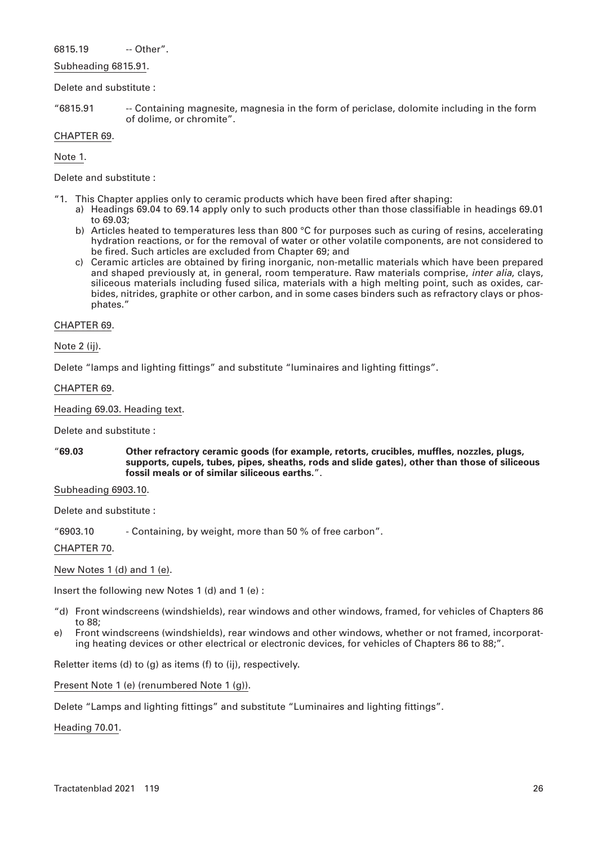# 6815.19 -- Other".

Subheading 6815.91.

Delete and substitute :

"6815.91 -- Containing magnesite, magnesia in the form of periclase, dolomite including in the form of dolime, or chromite".

# CHAPTER 69.

Note 1.

Delete and substitute :

- "1. This Chapter applies only to ceramic products which have been fired after shaping:
	- a) Headings 69.04 to 69.14 apply only to such products other than those classifiable in headings 69.01 to 69.03;
	- b) Articles heated to temperatures less than 800 °C for purposes such as curing of resins, accelerating hydration reactions, or for the removal of water or other volatile components, are not considered to be fired. Such articles are excluded from Chapter 69; and
	- c) Ceramic articles are obtained by firing inorganic, non-metallic materials which have been prepared and shaped previously at, in general, room temperature. Raw materials comprise, *inter alia*, clays, siliceous materials including fused silica, materials with a high melting point, such as oxides, carbides, nitrides, graphite or other carbon, and in some cases binders such as refractory clays or phosphates."

# CHAPTER 69.

## Note 2 (ij).

Delete "lamps and lighting fittings" and substitute "luminaires and lighting fittings".

### CHAPTER 69.

Heading 69.03. Heading text.

Delete and substitute :

"**69.03 Other refractory ceramic goods (for example, retorts, crucibles, muffles, nozzles, plugs, supports, cupels, tubes, pipes, sheaths, rods and slide gates), other than those of siliceous fossil meals or of similar siliceous earths.**".

Subheading 6903.10.

Delete and substitute :

"6903.10 - Containing, by weight, more than 50 % of free carbon".

CHAPTER 70.

New Notes 1 (d) and 1 (e).

Insert the following new Notes 1 (d) and 1 (e) :

- "d) Front windscreens (windshields), rear windows and other windows, framed, for vehicles of Chapters 86 to 88;
- e) Front windscreens (windshields), rear windows and other windows, whether or not framed, incorporating heating devices or other electrical or electronic devices, for vehicles of Chapters 86 to 88;".

Reletter items (d) to (g) as items (f) to (ij), respectively.

Present Note 1 (e) (renumbered Note 1 (g)).

Delete "Lamps and lighting fittings" and substitute "Luminaires and lighting fittings".

Heading 70.01.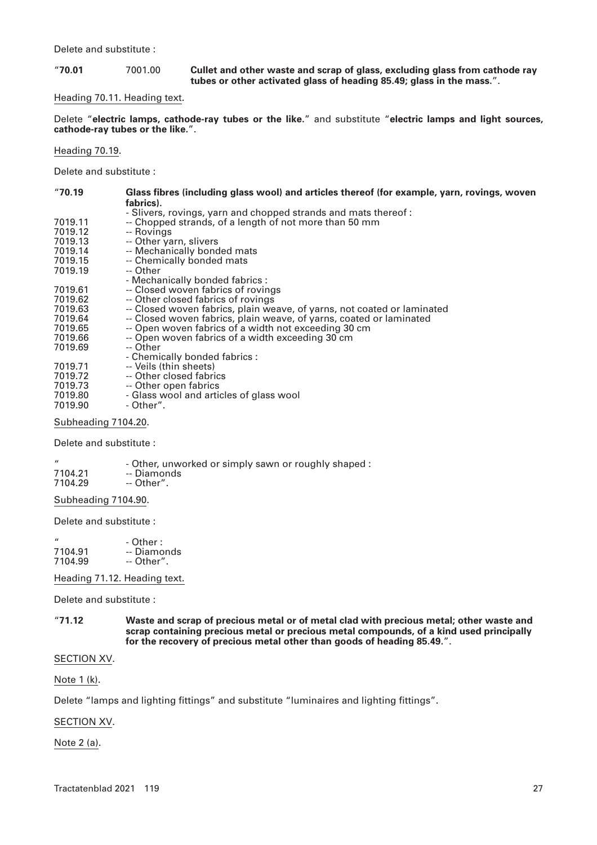Delete and substitute :

"**70.01** 7001.00 **Cullet and other waste and scrap of glass, excluding glass from cathode ray tubes or other activated glass of heading 85.49; glass in the mass.**".

Heading 70.11. Heading text.

Delete "**electric lamps, cathode-ray tubes or the like.**" and substitute "**electric lamps and light sources, cathode-ray tubes or the like.**".

Heading 70.19.

Delete and substitute :

| "70.19"             | Glass fibres (including glass wool) and articles thereof (for example, yarn, rovings, woven |
|---------------------|---------------------------------------------------------------------------------------------|
|                     | fabrics).                                                                                   |
|                     | - Slivers, rovings, yarn and chopped strands and mats thereof :                             |
| 7019.11             | -- Chopped strands, of a length of not more than 50 mm                                      |
| 7019.12             | -- Rovings                                                                                  |
| 7019.13             | -- Other yarn, slivers                                                                      |
| 7019.14             | -- Mechanically bonded mats                                                                 |
| 7019.15             | -- Chemically bonded mats                                                                   |
| 7019.19             | -- Other                                                                                    |
|                     | - Mechanically bonded fabrics :                                                             |
| 7019.61             | -- Closed woven fabrics of rovings                                                          |
| 7019.62             | -- Other closed fabrics of rovings                                                          |
| 7019.63             | -- Closed woven fabrics, plain weave, of yarns, not coated or laminated                     |
| 7019.64             | -- Closed woven fabrics, plain weave, of yarns, coated or laminated                         |
| 7019.65             | -- Open woven fabrics of a width not exceeding 30 cm                                        |
| 7019.66             | -- Open woven fabrics of a width exceeding 30 cm                                            |
| 7019.69             | -- Other                                                                                    |
|                     | - Chemically bonded fabrics :                                                               |
| 7019.71             | -- Veils (thin sheets)                                                                      |
| 7019.72             | -- Other closed fabrics                                                                     |
| 7019.73             | -- Other open fabrics                                                                       |
| 7019.80             | - Glass wool and articles of glass wool                                                     |
| 7019.90             | - Other".                                                                                   |
| Subheading 7104.20. |                                                                                             |
|                     |                                                                                             |

Delete and substitute :

|                | - Other, unworked or simply sawn or roughly shaped: |  |
|----------------|-----------------------------------------------------|--|
| <b>7101.01</b> | الملحمد ومحافظات                                    |  |

7104.21 -- Diamonds 7104.29 -- Other".

Subheading 7104.90.

Delete and substitute :

| $\overline{\mathbf{u}}$ | - Other:    |
|-------------------------|-------------|
| 7104.91                 | -- Diamonds |
| 7104.99                 | -- Other".  |

Heading 71.12. Heading text.

Delete and substitute :

"**71.12 Waste and scrap of precious metal or of metal clad with precious metal; other waste and scrap containing precious metal or precious metal compounds, of a kind used principally for the recovery of precious metal other than goods of heading 85.49.**".

# SECTION XV.

Note 1 (k).

Delete "lamps and lighting fittings" and substitute "luminaires and lighting fittings".

# SECTION XV.

Note 2 (a).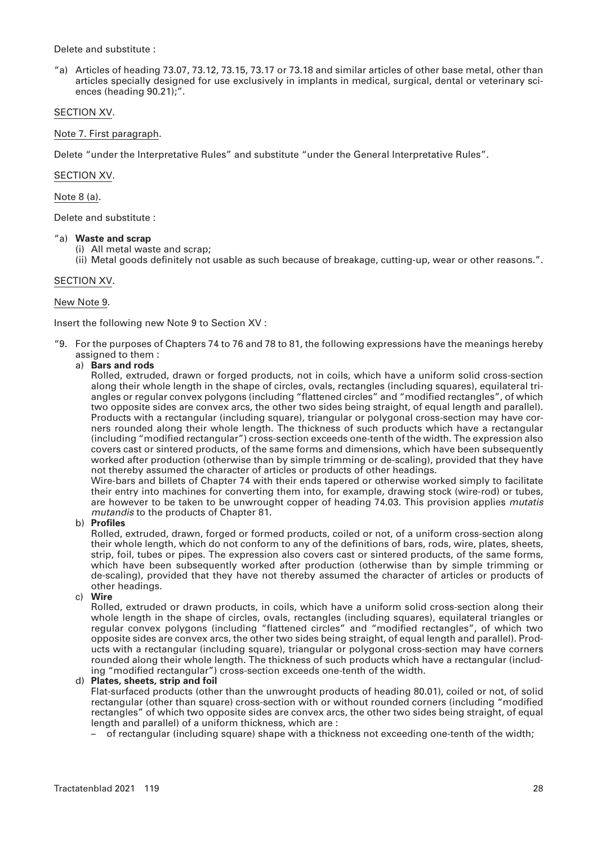Delete and substitute :

"a) Articles of heading 73.07, 73.12, 73.15, 73.17 or 73.18 and similar articles of other base metal, other than articles specially designed for use exclusively in implants in medical, surgical, dental or veterinary sciences (heading 90.21);".

## SECTION XV.

## Note 7. First paragraph.

Delete "under the Interpretative Rules" and substitute "under the General Interpretative Rules".

#### SECTION XV.

## Note 8 (a).

Delete and substitute :

#### "a) **Waste and scrap**

- (i) All metal waste and scrap;
- (ii) Metal goods definitely not usable as such because of breakage, cutting-up, wear or other reasons.".

## SECTION XV.

## New Note 9.

Insert the following new Note 9 to Section XV :

- "9. For the purposes of Chapters 74 to 76 and 78 to 81, the following expressions have the meanings hereby assigned to them :
	- a) **Bars and rods**

Rolled, extruded, drawn or forged products, not in coils, which have a uniform solid cross-section along their whole length in the shape of circles, ovals, rectangles (including squares), equilateral triangles or regular convex polygons (including "flattened circles" and "modified rectangles", of which two opposite sides are convex arcs, the other two sides being straight, of equal length and parallel). Products with a rectangular (including square), triangular or polygonal cross-section may have corners rounded along their whole length. The thickness of such products which have a rectangular (including "modified rectangular") cross-section exceeds one-tenth of the width. The expression also covers cast or sintered products, of the same forms and dimensions, which have been subsequently worked after production (otherwise than by simple trimming or de-scaling), provided that they have not thereby assumed the character of articles or products of other headings.

Wire-bars and billets of Chapter 74 with their ends tapered or otherwise worked simply to facilitate their entry into machines for converting them into, for example, drawing stock (wire-rod) or tubes, are however to be taken to be unwrought copper of heading 74.03. This provision applies *mutatis mutandis* to the products of Chapter 81.

b) **Profiles**

Rolled, extruded, drawn, forged or formed products, coiled or not, of a uniform cross-section along their whole length, which do not conform to any of the definitions of bars, rods, wire, plates, sheets, strip, foil, tubes or pipes. The expression also covers cast or sintered products, of the same forms, which have been subsequently worked after production (otherwise than by simple trimming or de-scaling), provided that they have not thereby assumed the character of articles or products of other headings.

c) **Wire**

Rolled, extruded or drawn products, in coils, which have a uniform solid cross-section along their whole length in the shape of circles, ovals, rectangles (including squares), equilateral triangles or regular convex polygons (including "flattened circles" and "modified rectangles", of which two opposite sides are convex arcs, the other two sides being straight, of equal length and parallel). Products with a rectangular (including square), triangular or polygonal cross-section may have corners rounded along their whole length. The thickness of such products which have a rectangular (including "modified rectangular") cross-section exceeds one-tenth of the width.

#### d) **Plates, sheets, strip and foil**

Flat-surfaced products (other than the unwrought products of heading 80.01), coiled or not, of solid rectangular (other than square) cross-section with or without rounded corners (including "modified rectangles" of which two opposite sides are convex arcs, the other two sides being straight, of equal length and parallel) of a uniform thickness, which are :

– of rectangular (including square) shape with a thickness not exceeding one-tenth of the width;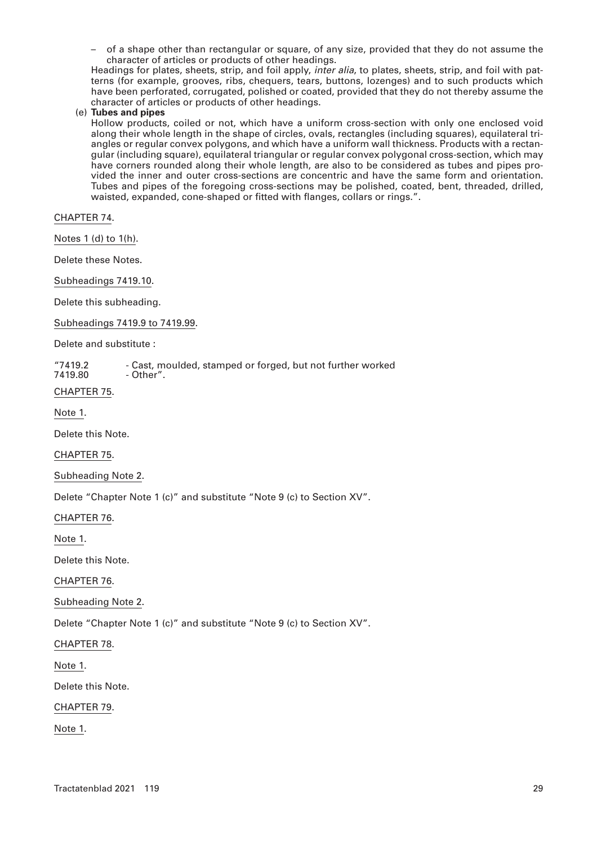– of a shape other than rectangular or square, of any size, provided that they do not assume the character of articles or products of other headings.

Headings for plates, sheets, strip, and foil apply, *inter alia*, to plates, sheets, strip, and foil with patterns (for example, grooves, ribs, chequers, tears, buttons, lozenges) and to such products which have been perforated, corrugated, polished or coated, provided that they do not thereby assume the character of articles or products of other headings.

## (e) **Tubes and pipes**

Hollow products, coiled or not, which have a uniform cross-section with only one enclosed void along their whole length in the shape of circles, ovals, rectangles (including squares), equilateral triangles or regular convex polygons, and which have a uniform wall thickness. Products with a rectangular (including square), equilateral triangular or regular convex polygonal cross-section, which may have corners rounded along their whole length, are also to be considered as tubes and pipes provided the inner and outer cross-sections are concentric and have the same form and orientation. Tubes and pipes of the foregoing cross-sections may be polished, coated, bent, threaded, drilled, waisted, expanded, cone-shaped or fitted with flanges, collars or rings.".

# CHAPTER 74.

Notes 1 (d) to 1(h).

Delete these Notes.

Subheadings 7419.10.

Delete this subheading.

Subheadings 7419.9 to 7419.99.

Delete and substitute :

# "7419.2 - Cast, moulded, stamped or forged, but not further worked<br>7419.80 - Other".

- Other".

# CHAPTER 75.

Note 1.

Delete this Note.

CHAPTER 75.

Subheading Note 2.

Delete "Chapter Note 1 (c)" and substitute "Note 9 (c) to Section XV".

CHAPTER 76.

Note 1.

Delete this Note.

# CHAPTER 76.

Subheading Note 2.

Delete "Chapter Note 1 (c)" and substitute "Note 9 (c) to Section XV".

# CHAPTER 78.

Note 1.

Delete this Note.

# CHAPTER 79.

Note 1.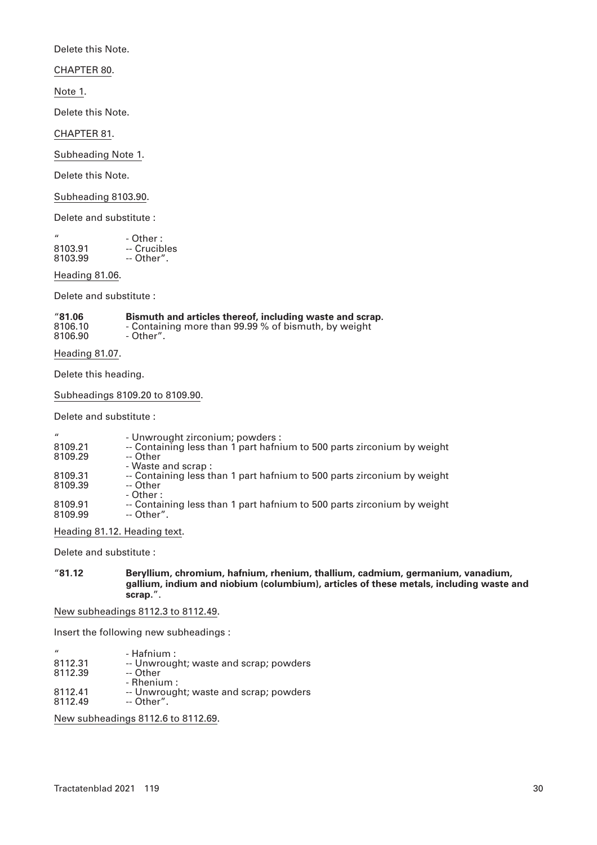Delete this Note.

CHAPTER 80.

Note 1.

Delete this Note.

CHAPTER 81.

Subheading Note 1.

Delete this Note.

Subheading 8103.90.

Delete and substitute :

" - Other :<br>8103.91 -- Crucib<br>8103.99 -- Other 8103.91 -- Crucibles 8103.99 -- Other".

Heading 81.06.

Delete and substitute :

| "81.06" | Bismuth and articles thereof, including waste and scrap. |
|---------|----------------------------------------------------------|
| 8106.10 | - Containing more than 99.99 % of bismuth, by weight     |
| 8106.90 | - Other".                                                |

Heading 81.07.

Delete this heading.

Subheadings 8109.20 to 8109.90.

Delete and substitute :

| $\mathbf{u}$ | - Unwrought zirconium; powders :                                        |
|--------------|-------------------------------------------------------------------------|
| 8109.21      | -- Containing less than 1 part hafnium to 500 parts zirconium by weight |
| 8109.29      | -- Other                                                                |
|              | - Waste and scrap:                                                      |
| 8109.31      | -- Containing less than 1 part hafnium to 500 parts zirconium by weight |
| 8109.39      | -- Other                                                                |
|              | - Other :                                                               |
| 8109.91      | -- Containing less than 1 part hafnium to 500 parts zirconium by weight |
| 8109.99      | -- Other".                                                              |
|              |                                                                         |

Heading 81.12. Heading text.

Delete and substitute :

"**81.12 Beryllium, chromium, hafnium, rhenium, thallium, cadmium, germanium, vanadium, gallium, indium and niobium (columbium), articles of these metals, including waste and scrap.**".

New subheadings 8112.3 to 8112.49.

Insert the following new subheadings :

| $\prime$ | - Hafnium :                            |
|----------|----------------------------------------|
| 8112.31  | -- Unwrought; waste and scrap; powders |
| 8112.39  | -- Other                               |
|          | - Rhenium :                            |
| 8112.41  | -- Unwrought; waste and scrap; powders |
| 8112.49  | -- Other".                             |
|          | $\mathbf{A}$                           |

New subheadings 8112.6 to 8112.69.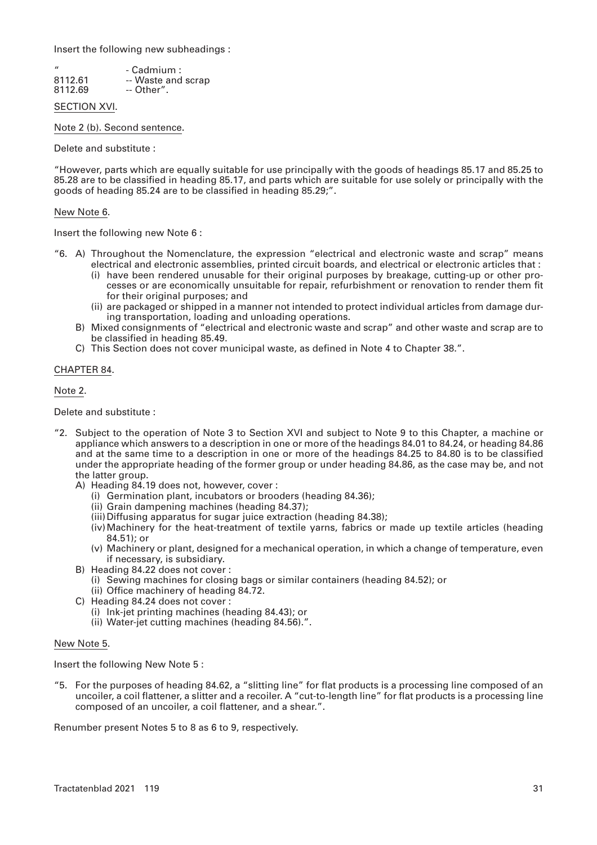Insert the following new subheadings :

| $\prime$ | - Cadmium :        |
|----------|--------------------|
| 8112.61  | -- Waste and scrap |
| 8112.69  | -- Other".         |

SECTION XVI.

Note 2 (b). Second sentence.

Delete and substitute :

"However, parts which are equally suitable for use principally with the goods of headings 85.17 and 85.25 to 85.28 are to be classified in heading 85.17, and parts which are suitable for use solely or principally with the goods of heading 85.24 are to be classified in heading 85.29;".

## New Note 6.

Insert the following new Note 6 :

- "6. A) Throughout the Nomenclature, the expression "electrical and electronic waste and scrap" means electrical and electronic assemblies, printed circuit boards, and electrical or electronic articles that :
	- (i) have been rendered unusable for their original purposes by breakage, cutting-up or other processes or are economically unsuitable for repair, refurbishment or renovation to render them fit for their original purposes; and
	- (ii) are packaged or shipped in a manner not intended to protect individual articles from damage during transportation, loading and unloading operations.
	- B) Mixed consignments of "electrical and electronic waste and scrap" and other waste and scrap are to be classified in heading 85.49.
	- C) This Section does not cover municipal waste, as defined in Note 4 to Chapter 38.".

## CHAPTER 84.

Note 2.

Delete and substitute :

- "2. Subject to the operation of Note 3 to Section XVI and subject to Note 9 to this Chapter, a machine or appliance which answers to a description in one or more of the headings 84.01 to 84.24, or heading 84.86 and at the same time to a description in one or more of the headings 84.25 to 84.80 is to be classified under the appropriate heading of the former group or under heading 84.86, as the case may be, and not the latter group.
	- A) Heading 84.19 does not, however, cover :
		- (i) Germination plant, incubators or brooders (heading 84.36);
		- (ii) Grain dampening machines (heading 84.37);
		- (iii)Diffusing apparatus for sugar juice extraction (heading 84.38);
		- (iv)Machinery for the heat-treatment of textile yarns, fabrics or made up textile articles (heading 84.51); or
		- (v) Machinery or plant, designed for a mechanical operation, in which a change of temperature, even if necessary, is subsidiary.
	- B) Heading 84.22 does not cover :
		- (i) Sewing machines for closing bags or similar containers (heading 84.52); or
		- (ii) Office machinery of heading 84.72.
	- C) Heading 84.24 does not cover :
		- (i) Ink-jet printing machines (heading 84.43); or
		- (ii) Water-jet cutting machines (heading 84.56).".

#### New Note 5.

Insert the following New Note 5 :

"5. For the purposes of heading 84.62, a "slitting line" for flat products is a processing line composed of an uncoiler, a coil flattener, a slitter and a recoiler. A "cut-to-length line" for flat products is a processing line composed of an uncoiler, a coil flattener, and a shear.".

Renumber present Notes 5 to 8 as 6 to 9, respectively.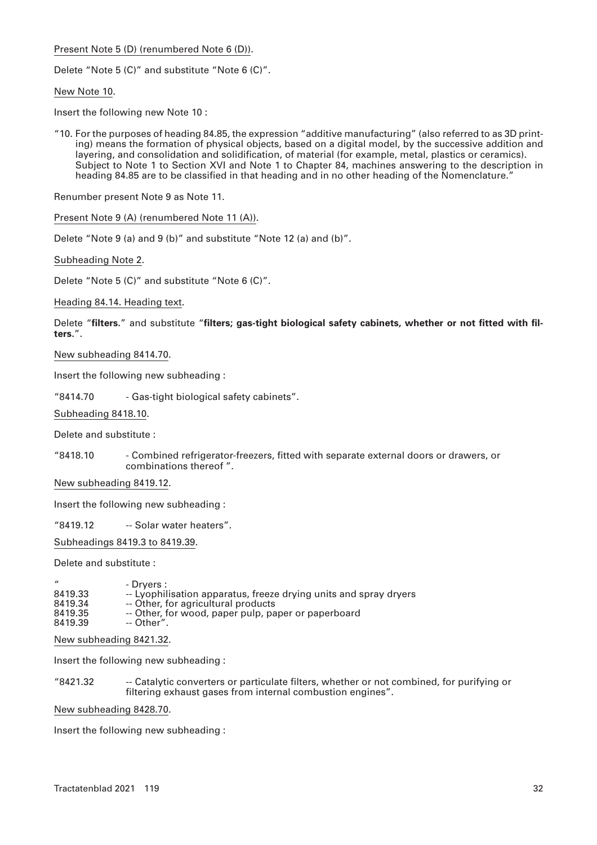Present Note 5 (D) (renumbered Note 6 (D)).

Delete "Note 5 (C)" and substitute "Note 6 (C)".

New Note 10.

Insert the following new Note 10 :

"10. For the purposes of heading 84.85, the expression "additive manufacturing" (also referred to as 3D printing) means the formation of physical objects, based on a digital model, by the successive addition and layering, and consolidation and solidification, of material (for example, metal, plastics or ceramics). Subject to Note 1 to Section XVI and Note 1 to Chapter 84, machines answering to the description in heading 84.85 are to be classified in that heading and in no other heading of the Nomenclature."

Renumber present Note 9 as Note 11.

Present Note 9 (A) (renumbered Note 11 (A)).

Delete "Note 9 (a) and 9 (b)" and substitute "Note 12 (a) and (b)".

Subheading Note 2.

Delete "Note 5 (C)" and substitute "Note 6 (C)".

Heading 84.14. Heading text.

Delete "**filters.**" and substitute "**filters; gas-tight biological safety cabinets, whether or not fitted with filters.**".

New subheading 8414.70.

Insert the following new subheading :

"8414.70 - Gas-tight biological safety cabinets".

Subheading 8418.10.

Delete and substitute :

"8418.10 - Combined refrigerator-freezers, fitted with separate external doors or drawers, or combinations thereof ".

New subheading 8419.12.

Insert the following new subheading :

"8419.12 -- Solar water heaters".

Subheadings 8419.3 to 8419.39.

Delete and substitute :

" - Dryers : 8419.33 -- Lyophilisation apparatus, freeze drying units and spray dryers<br>8419.34 -- Other, for agricultural products 8419.34 -- Other, for agricultural products<br>8419.35 -- Other, for wood, paper pulp, pa 8419.35 -- Other, for wood, paper pulp, paper or paperboard<br>8419.39 -- Other". -- Other".

New subheading 8421.32.

Insert the following new subheading :

"8421.32 -- Catalytic converters or particulate filters, whether or not combined, for purifying or filtering exhaust gases from internal combustion engines".

New subheading 8428.70.

Insert the following new subheading :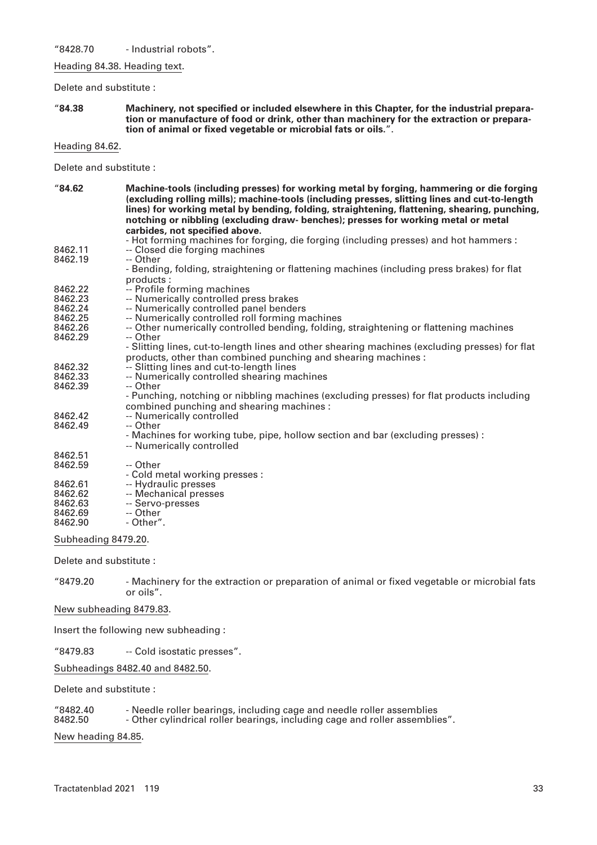## Heading 84.38. Heading text.

Delete and substitute :

"**84.38 Machinery, not specified or included elsewhere in this Chapter, for the industrial preparation or manufacture of food or drink, other than machinery for the extraction or preparation of animal or fixed vegetable or microbial fats or oils.**".

## Heading 84.62.

Delete and substitute :

| "84.62"             | Machine-tools (including presses) for working metal by forging, hammering or die forging<br>(excluding rolling mills); machine-tools (including presses, slitting lines and cut-to-length<br>lines) for working metal by bending, folding, straightening, flattening, shearing, punching,<br>notching or nibbling (excluding draw- benches); presses for working metal or metal |
|---------------------|---------------------------------------------------------------------------------------------------------------------------------------------------------------------------------------------------------------------------------------------------------------------------------------------------------------------------------------------------------------------------------|
|                     | carbides, not specified above.<br>- Hot forming machines for forging, die forging (including presses) and hot hammers :                                                                                                                                                                                                                                                         |
| 8462.11             | -- Closed die forging machines                                                                                                                                                                                                                                                                                                                                                  |
| 8462.19             | -- Other                                                                                                                                                                                                                                                                                                                                                                        |
|                     | - Bending, folding, straightening or flattening machines (including press brakes) for flat                                                                                                                                                                                                                                                                                      |
|                     | products:                                                                                                                                                                                                                                                                                                                                                                       |
| 8462.22<br>8462.23  | -- Profile forming machines<br>-- Numerically controlled press brakes                                                                                                                                                                                                                                                                                                           |
| 8462.24             | -- Numerically controlled panel benders                                                                                                                                                                                                                                                                                                                                         |
| 8462.25             | -- Numerically controlled roll forming machines                                                                                                                                                                                                                                                                                                                                 |
| 8462.26             | -- Other numerically controlled bending, folding, straightening or flattening machines                                                                                                                                                                                                                                                                                          |
| 8462.29             | -- Other                                                                                                                                                                                                                                                                                                                                                                        |
|                     | - Slitting lines, cut-to-length lines and other shearing machines (excluding presses) for flat                                                                                                                                                                                                                                                                                  |
|                     | products, other than combined punching and shearing machines :                                                                                                                                                                                                                                                                                                                  |
| 8462.32<br>8462.33  | -- Slitting lines and cut-to-length lines<br>-- Numerically controlled shearing machines                                                                                                                                                                                                                                                                                        |
| 8462.39             | -- Other                                                                                                                                                                                                                                                                                                                                                                        |
|                     | - Punching, notching or nibbling machines (excluding presses) for flat products including                                                                                                                                                                                                                                                                                       |
|                     | combined punching and shearing machines :                                                                                                                                                                                                                                                                                                                                       |
| 8462.42             | -- Numerically controlled                                                                                                                                                                                                                                                                                                                                                       |
| 8462.49             | -- Other                                                                                                                                                                                                                                                                                                                                                                        |
|                     | - Machines for working tube, pipe, hollow section and bar (excluding presses) :                                                                                                                                                                                                                                                                                                 |
| 8462.51             | -- Numerically controlled                                                                                                                                                                                                                                                                                                                                                       |
| 8462.59             | -- Other                                                                                                                                                                                                                                                                                                                                                                        |
|                     | - Cold metal working presses :                                                                                                                                                                                                                                                                                                                                                  |
| 8462.61             | -- Hydraulic presses                                                                                                                                                                                                                                                                                                                                                            |
| 8462.62             | -- Mechanical presses                                                                                                                                                                                                                                                                                                                                                           |
| 8462.63             | -- Servo-presses                                                                                                                                                                                                                                                                                                                                                                |
| 8462.69             | -- Other                                                                                                                                                                                                                                                                                                                                                                        |
| 8462.90             | - Other".                                                                                                                                                                                                                                                                                                                                                                       |
| Subheading 8479.20. |                                                                                                                                                                                                                                                                                                                                                                                 |

Delete and substitute :

"8479.20 - Machinery for the extraction or preparation of animal or fixed vegetable or microbial fats or oils".

New subheading 8479.83.

Insert the following new subheading :

"8479.83 -- Cold isostatic presses".

Subheadings 8482.40 and 8482.50.

Delete and substitute :

# "8482.40 - Needle roller bearings, including cage and needle roller assemblies

86888 - Other cylindrical roller bearings, including cage and roller assemblies".

New heading 84.85.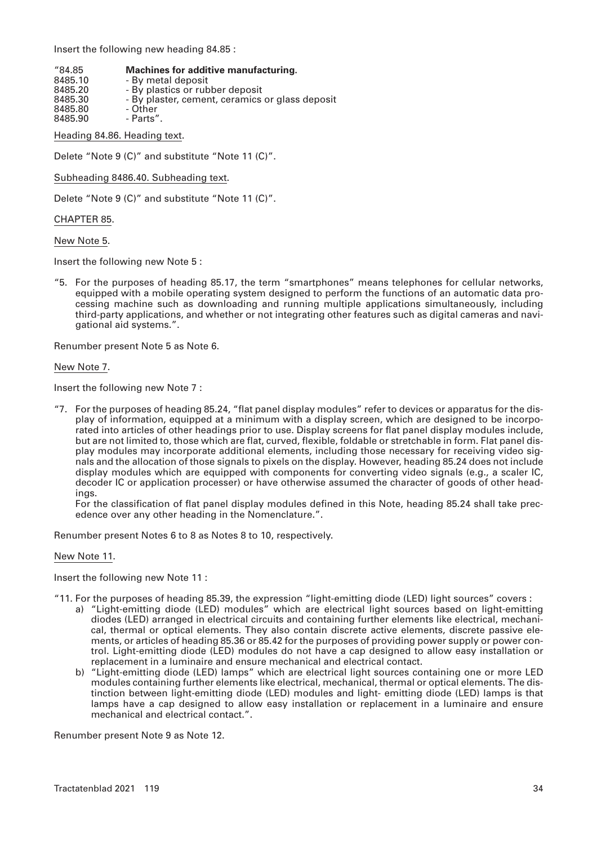Insert the following new heading 84.85 :

| "84.85  | Machines for additive manufacturing.            |
|---------|-------------------------------------------------|
| 8485.10 | - By metal deposit                              |
| 8485.20 | - By plastics or rubber deposit                 |
| 8485.30 | - By plaster, cement, ceramics or glass deposit |
| 8485.80 | - Other                                         |
| 8485.90 | - Parts".                                       |
|         |                                                 |

Heading 84.86. Heading text.

Delete "Note 9 (C)" and substitute "Note 11 (C)".

Subheading 8486.40. Subheading text.

Delete "Note 9 (C)" and substitute "Note 11 (C)".

## CHAPTER 85.

New Note 5.

Insert the following new Note 5 :

"5. For the purposes of heading 85.17, the term "smartphones" means telephones for cellular networks, equipped with a mobile operating system designed to perform the functions of an automatic data processing machine such as downloading and running multiple applications simultaneously, including third-party applications, and whether or not integrating other features such as digital cameras and navigational aid systems.".

Renumber present Note 5 as Note 6.

## New Note 7.

Insert the following new Note 7 :

"7. For the purposes of heading 85.24, "flat panel display modules" refer to devices or apparatus for the display of information, equipped at a minimum with a display screen, which are designed to be incorporated into articles of other headings prior to use. Display screens for flat panel display modules include, but are not limited to, those which are flat, curved, flexible, foldable or stretchable in form. Flat panel display modules may incorporate additional elements, including those necessary for receiving video signals and the allocation of those signals to pixels on the display. However, heading 85.24 does not include display modules which are equipped with components for converting video signals (e.g., a scaler IC, decoder IC or application processer) or have otherwise assumed the character of goods of other headings.

For the classification of flat panel display modules defined in this Note, heading 85.24 shall take precedence over any other heading in the Nomenclature.".

Renumber present Notes 6 to 8 as Notes 8 to 10, respectively.

New Note 11.

Insert the following new Note 11 :

- "11. For the purposes of heading 85.39, the expression "light-emitting diode (LED) light sources" covers :
	- a) "Light-emitting diode (LED) modules" which are electrical light sources based on light-emitting diodes (LED) arranged in electrical circuits and containing further elements like electrical, mechanical, thermal or optical elements. They also contain discrete active elements, discrete passive elements, or articles of heading 85.36 or 85.42 for the purposes of providing power supply or power control. Light-emitting diode (LED) modules do not have a cap designed to allow easy installation or replacement in a luminaire and ensure mechanical and electrical contact.
	- b) "Light-emitting diode (LED) lamps" which are electrical light sources containing one or more LED modules containing further elements like electrical, mechanical, thermal or optical elements. The distinction between light-emitting diode (LED) modules and light- emitting diode (LED) lamps is that lamps have a cap designed to allow easy installation or replacement in a luminaire and ensure mechanical and electrical contact.".

Renumber present Note 9 as Note 12.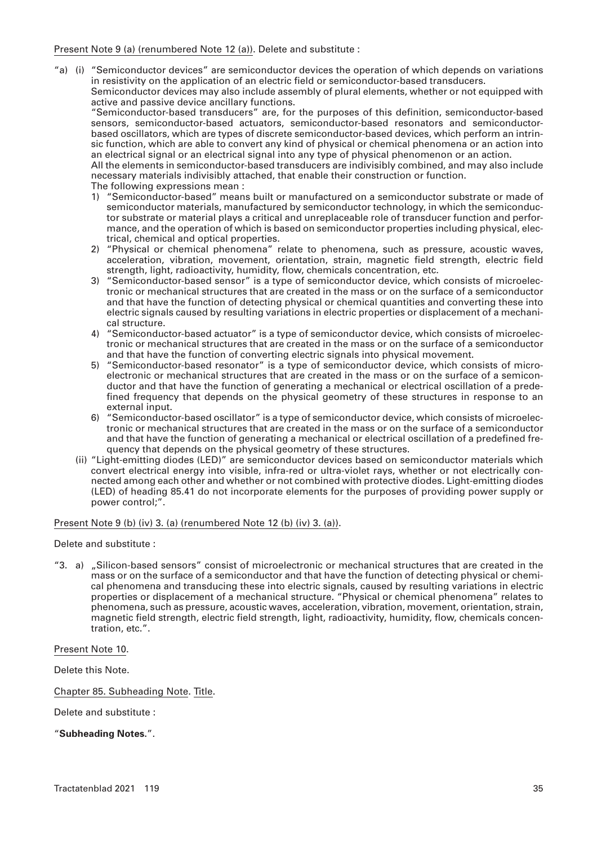## Present Note 9 (a) (renumbered Note 12 (a)). Delete and substitute :

"a) (i) "Semiconductor devices" are semiconductor devices the operation of which depends on variations in resistivity on the application of an electric field or semiconductor-based transducers. Semiconductor devices may also include assembly of plural elements, whether or not equipped with active and passive device ancillary functions.

"Semiconductor-based transducers" are, for the purposes of this definition, semiconductor-based sensors, semiconductor-based actuators, semiconductor-based resonators and semiconductorbased oscillators, which are types of discrete semiconductor-based devices, which perform an intrinsic function, which are able to convert any kind of physical or chemical phenomena or an action into an electrical signal or an electrical signal into any type of physical phenomenon or an action.

All the elements in semiconductor-based transducers are indivisibly combined, and may also include necessary materials indivisibly attached, that enable their construction or function. The following expressions mean :

- 1) "Semiconductor-based" means built or manufactured on a semiconductor substrate or made of semiconductor materials, manufactured by semiconductor technology, in which the semiconductor substrate or material plays a critical and unreplaceable role of transducer function and performance, and the operation of which is based on semiconductor properties including physical, electrical, chemical and optical properties.
- 2) "Physical or chemical phenomena" relate to phenomena, such as pressure, acoustic waves, acceleration, vibration, movement, orientation, strain, magnetic field strength, electric field strength, light, radioactivity, humidity, flow, chemicals concentration, etc.
- 3) "Semiconductor-based sensor" is a type of semiconductor device, which consists of microelectronic or mechanical structures that are created in the mass or on the surface of a semiconductor and that have the function of detecting physical or chemical quantities and converting these into electric signals caused by resulting variations in electric properties or displacement of a mechanical structure.
- 4) "Semiconductor-based actuator" is a type of semiconductor device, which consists of microelectronic or mechanical structures that are created in the mass or on the surface of a semiconductor and that have the function of converting electric signals into physical movement.
- 5) "Semiconductor-based resonator" is a type of semiconductor device, which consists of microelectronic or mechanical structures that are created in the mass or on the surface of a semiconductor and that have the function of generating a mechanical or electrical oscillation of a predefined frequency that depends on the physical geometry of these structures in response to an external input.
- 6) "Semiconductor-based oscillator" is a type of semiconductor device, which consists of microelectronic or mechanical structures that are created in the mass or on the surface of a semiconductor and that have the function of generating a mechanical or electrical oscillation of a predefined frequency that depends on the physical geometry of these structures.
- (ii) "Light-emitting diodes (LED)" are semiconductor devices based on semiconductor materials which convert electrical energy into visible, infra-red or ultra-violet rays, whether or not electrically connected among each other and whether or not combined with protective diodes. Light-emitting diodes (LED) of heading 85.41 do not incorporate elements for the purposes of providing power supply or power control;".

## Present Note 9 (b) (iv) 3. (a) (renumbered Note 12 (b) (iv) 3. (a)).

Delete and substitute :

"3. a) "Silicon-based sensors" consist of microelectronic or mechanical structures that are created in the  $\stackrel{\textstyle _{}}{\textstyle _{}}$  mass or on the surface of a semiconductor and that have the function of detecting physical or chemical phenomena and transducing these into electric signals, caused by resulting variations in electric properties or displacement of a mechanical structure. "Physical or chemical phenomena" relates to phenomena, such as pressure, acoustic waves, acceleration, vibration, movement, orientation, strain, magnetic field strength, electric field strength, light, radioactivity, humidity, flow, chemicals concentration, etc.".

Present Note 10.

Delete this Note.

Chapter 85. Subheading Note. Title.

Delete and substitute :

"**Subheading Notes.**".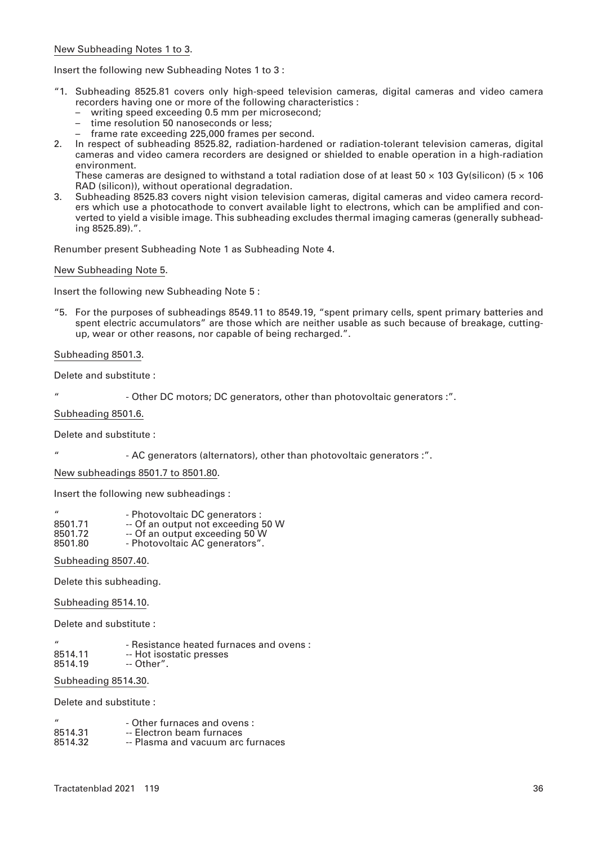# New Subheading Notes 1 to 3.

Insert the following new Subheading Notes 1 to 3 :

- "1. Subheading 8525.81 covers only high-speed television cameras, digital cameras and video camera recorders having one or more of the following characteristics :
	- writing speed exceeding 0.5 mm per microsecond;
	- time resolution 50 nanoseconds or less;
	- frame rate exceeding 225,000 frames per second.
- 2. In respect of subheading 8525.82, radiation-hardened or radiation-tolerant television cameras, digital cameras and video camera recorders are designed or shielded to enable operation in a high-radiation environment.

These cameras are designed to withstand a total radiation dose of at least 50  $\times$  103 Gy(silicon) (5  $\times$  106 RAD (silicon)), without operational degradation.

3. Subheading 8525.83 covers night vision television cameras, digital cameras and video camera recorders which use a photocathode to convert available light to electrons, which can be amplified and converted to yield a visible image. This subheading excludes thermal imaging cameras (generally subheading 8525.89).".

Renumber present Subheading Note 1 as Subheading Note 4.

New Subheading Note 5.

Insert the following new Subheading Note 5 :

"5. For the purposes of subheadings 8549.11 to 8549.19, "spent primary cells, spent primary batteries and spent electric accumulators" are those which are neither usable as such because of breakage, cuttingup, wear or other reasons, nor capable of being recharged.".

Subheading 8501.3.

Delete and substitute :

- Other DC motors; DC generators, other than photovoltaic generators :".

Subheading 8501.6.

Delete and substitute :

- AC generators (alternators), other than photovoltaic generators :".

New subheadings 8501.7 to 8501.80.

Insert the following new subheadings :

- " Photovoltaic DC generators : 8501.71 -- Of an output not exceeding 50 W<br>8501.72 -- Of an output exceeding 50 W 8501.72 -- Of an output exceeding 50 W<br>8501.80 - Photovoltaic AC generators"
- Photovoltaic AC generators".

Subheading 8507.40.

Delete this subheading.

Subheading 8514.10.

Delete and substitute :

" - Resistance heated furnaces and ovens:<br>8514.11 - Hot isostatic presses 8514.11 -- Hot isostatic presses<br>8514.19 -- Other". -- Other".

Subheading 8514.30.

| $\prime$ | - Other furnaces and ovens:       |
|----------|-----------------------------------|
| 8514.31  | -- Electron beam furnaces         |
| 8514.32  | -- Plasma and vacuum arc furnaces |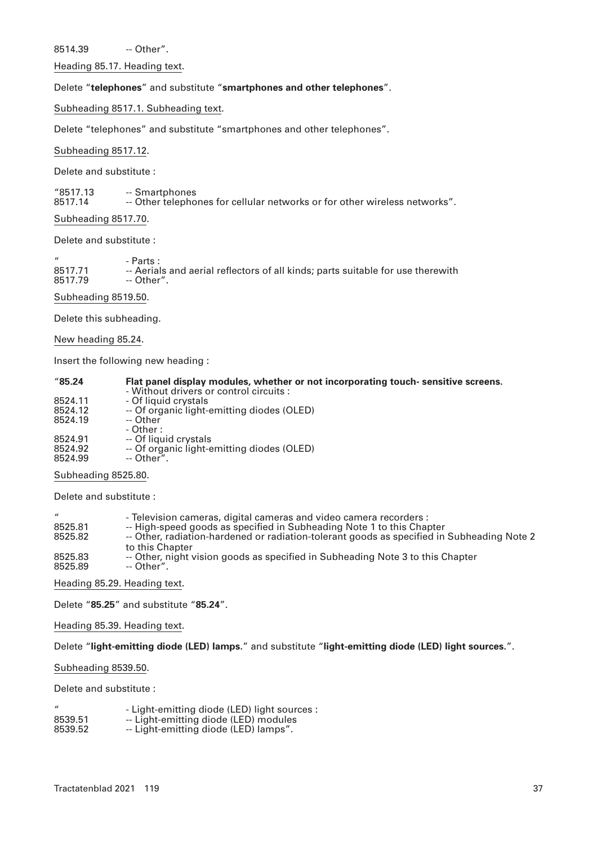8514.39 -- Other".

Heading 85.17. Heading text.

# Delete "**telephones**" and substitute "**smartphones and other telephones**".

Subheading 8517.1. Subheading text.

Delete "telephones" and substitute "smartphones and other telephones".

Subheading 8517.12.

Delete and substitute :

"8517.13 -- Smartphones -- Other telephones for cellular networks or for other wireless networks".

Subheading 8517.70.

Delete and substitute :

"<br>8517.71 - Aerial 8517.71 -- Aerials and aerial reflectors of all kinds; parts suitable for use therewith<br>8517.79 -- Other". -- Other".

Subheading 8519.50.

Delete this subheading.

New heading 85.24.

Insert the following new heading :

| Flat panel display modules, whether or not incorporating touch-sensitive screens.<br>- Without drivers or control circuits : |
|------------------------------------------------------------------------------------------------------------------------------|
| - Of liquid crystals                                                                                                         |
| -- Of organic light-emitting diodes (OLED)                                                                                   |
| -- Other<br>- Other :                                                                                                        |
| -- Of liquid crystals                                                                                                        |
| -- Of organic light-emitting diodes (OLED)<br>-- Other".                                                                     |
|                                                                                                                              |

Subheading 8525.80.

Delete and substitute :

| $\overline{u}$ | - Television cameras, digital cameras and video camera recorders :                         |
|----------------|--------------------------------------------------------------------------------------------|
| 8525.81        | -- High-speed goods as specified in Subheading Note 1 to this Chapter                      |
| 8525.82        | -- Other, radiation-hardened or radiation-tolerant goods as specified in Subheading Note 2 |
|                | to this Chapter                                                                            |
| 8525.83        | -- Other, night vision goods as specified in Subheading Note 3 to this Chapter             |
| 8525.89        | -- Other".                                                                                 |

Heading 85.29. Heading text.

Delete "**85.25**" and substitute "**85.24**".

Heading 85.39. Heading text.

Delete "**light-emitting diode (LED) lamps.**" and substitute "**light-emitting diode (LED) light sources.**".

Subheading 8539.50.

| $\overline{\mathbf{u}}$ | - Light-emitting diode (LED) light sources : |
|-------------------------|----------------------------------------------|
| 8539.51                 | -- Light-emitting diode (LED) modules        |
| 8539.52                 | -- Light-emitting diode (LED) lamps".        |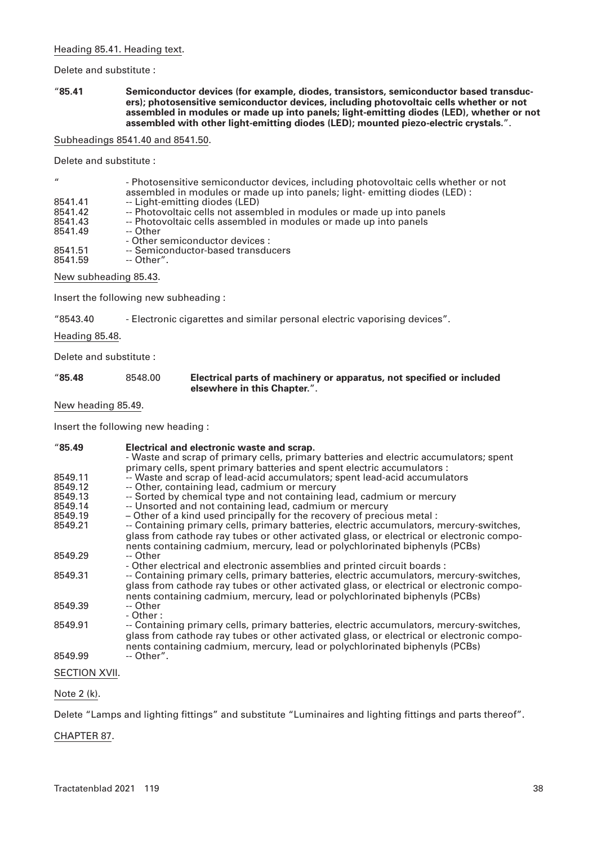Delete and substitute :

"**85.41 Semiconductor devices (for example, diodes, transistors, semiconductor based transducers); photosensitive semiconductor devices, including photovoltaic cells whether or not assembled in modules or made up into panels; light-emitting diodes (LED), whether or not assembled with other light-emitting diodes (LED); mounted piezo-electric crystals.**".

Subheadings 8541.40 and 8541.50.

Delete and substitute :

## " - Photosensitive semiconductor devices, including photovoltaic cells whether or not assembled in modules or made up into panels; light- emitting diodes (LED) :

- 
- 8541.41 -- Light-emitting diodes (LED)<br>8541.42 -- Photovoltaic cells not assen -- Photovoltaic cells not assembled in modules or made up into panels
- 8541.43 -- Photovoltaic cells assembled in modules or made up into panels<br>8541.49 -- Other
- 8541.49
	- Other semiconductor devices :
- 8541.51 -- Semiconductor-based transducers<br>8541.59 -- Other". -- Other".

New subheading 85.43.

Insert the following new subheading :

"8543.40 - Electronic cigarettes and similar personal electric vaporising devices".

Heading 85.48.

Delete and substitute :

| "85.48" | 8548.00 | Electrical parts of machinery or apparatus, not specified or included |
|---------|---------|-----------------------------------------------------------------------|
|         |         | elsewhere in this Chapter.".                                          |

New heading 85.49.

Insert the following new heading :

| "85.49"<br>8549.11<br>8549.12<br>8549.13<br>8549.14<br>8549.19<br>8549.21 | Electrical and electronic waste and scrap.<br>- Waste and scrap of primary cells, primary batteries and electric accumulators; spent<br>primary cells, spent primary batteries and spent electric accumulators :<br>-- Waste and scrap of lead-acid accumulators; spent lead-acid accumulators<br>-- Other, containing lead, cadmium or mercury<br>-- Sorted by chemical type and not containing lead, cadmium or mercury<br>-- Unsorted and not containing lead, cadmium or mercury<br>- Other of a kind used principally for the recovery of precious metal :<br>-- Containing primary cells, primary batteries, electric accumulators, mercury-switches,<br>glass from cathode ray tubes or other activated glass, or electrical or electronic compo-<br>nents containing cadmium, mercury, lead or polychlorinated biphenyls (PCBs) |
|---------------------------------------------------------------------------|-----------------------------------------------------------------------------------------------------------------------------------------------------------------------------------------------------------------------------------------------------------------------------------------------------------------------------------------------------------------------------------------------------------------------------------------------------------------------------------------------------------------------------------------------------------------------------------------------------------------------------------------------------------------------------------------------------------------------------------------------------------------------------------------------------------------------------------------|
| 8549.29                                                                   | -- Other<br>- Other electrical and electronic assemblies and printed circuit boards :                                                                                                                                                                                                                                                                                                                                                                                                                                                                                                                                                                                                                                                                                                                                                   |
| 8549.31                                                                   | -- Containing primary cells, primary batteries, electric accumulators, mercury-switches,<br>glass from cathode ray tubes or other activated glass, or electrical or electronic compo-<br>nents containing cadmium, mercury, lead or polychlorinated biphenyls (PCBs)                                                                                                                                                                                                                                                                                                                                                                                                                                                                                                                                                                    |
| 8549.39                                                                   | -- Other<br>- Other :                                                                                                                                                                                                                                                                                                                                                                                                                                                                                                                                                                                                                                                                                                                                                                                                                   |
| 8549.91                                                                   | -- Containing primary cells, primary batteries, electric accumulators, mercury-switches,<br>glass from cathode ray tubes or other activated glass, or electrical or electronic compo-<br>nents containing cadmium, mercury, lead or polychlorinated biphenyls (PCBs)                                                                                                                                                                                                                                                                                                                                                                                                                                                                                                                                                                    |
| 8549.99                                                                   | -- Other".                                                                                                                                                                                                                                                                                                                                                                                                                                                                                                                                                                                                                                                                                                                                                                                                                              |

# SECTION XVII.

# Note 2 (k).

Delete "Lamps and lighting fittings" and substitute "Luminaires and lighting fittings and parts thereof".

# CHAPTER 87.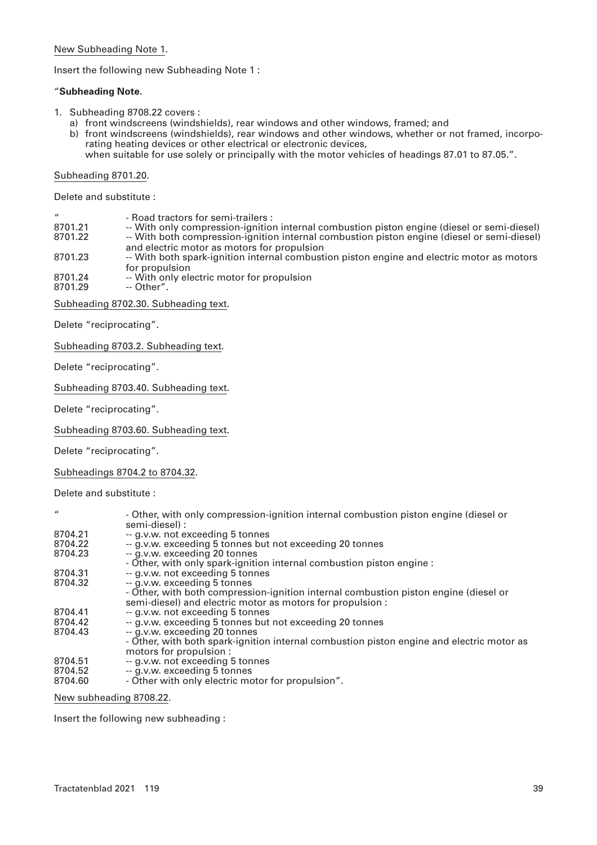# New Subheading Note 1.

Insert the following new Subheading Note 1 :

## "**Subheading Note.**

- 1. Subheading 8708.22 covers :
	- a) front windscreens (windshields), rear windows and other windows, framed; and
	- b) front windscreens (windshields), rear windows and other windows, whether or not framed, incorporating heating devices or other electrical or electronic devices,
		- when suitable for use solely or principally with the motor vehicles of headings 87.01 to 87.05.".

# Subheading 8701.20.

Delete and substitute :

- " Road tractors for semi-trailers :
- 8701.21 -- With only compression-ignition internal combustion piston engine (diesel or semi-diesel)<br>8701.22 -- With both compression-ignition internal combustion piston engine (diesel or semi-diesel) -- With both compression-ignition internal combustion piston engine (diesel or semi-diesel)
- and electric motor as motors for propulsion 8701.23 -- With both spark-ignition internal combustion piston engine and electric motor as motors for propulsion
- 8701.24 -- With only electric motor for propulsion<br>8701.29 -- Other".
- -- Other".

Subheading 8702.30. Subheading text.

Delete "reciprocating".

Subheading 8703.2. Subheading text.

Delete "reciprocating".

Subheading 8703.40. Subheading text.

Delete "reciprocating".

Subheading 8703.60. Subheading text.

Delete "reciprocating".

Subheadings 8704.2 to 8704.32.

Delete and substitute :

| $\mathbf{u}$ | - Other, with only compression-ignition internal combustion piston engine (diesel or      |
|--------------|-------------------------------------------------------------------------------------------|
|              | semi-diesel) :                                                                            |
| 8704.21      | -- g.v.w. not exceeding 5 tonnes                                                          |
| 8704.22      | -- g.v.w. exceeding 5 tonnes but not exceeding 20 tonnes                                  |
| 8704.23      | -- g.v.w. exceeding 20 tonnes                                                             |
|              | - Other, with only spark-ignition internal combustion piston engine :                     |
| 8704.31      | -- g.v.w. not exceeding 5 tonnes                                                          |
| 8704.32      | -- g.v.w. exceeding 5 tonnes                                                              |
|              | - Other, with both compression-ignition internal combustion piston engine (diesel or      |
|              | semi-diesel) and electric motor as motors for propulsion :                                |
| 8704.41      | -- g.v.w. not exceeding 5 tonnes                                                          |
| 8704.42      | -- g.v.w. exceeding 5 tonnes but not exceeding 20 tonnes                                  |
| 8704.43      | -- g.v.w. exceeding 20 tonnes                                                             |
|              | - Other, with both spark-ignition internal combustion piston engine and electric motor as |
|              | motors for propulsion :                                                                   |
| 8704.51      | -- g.v.w. not exceeding 5 tonnes                                                          |
| 8704.52      | -- g.v.w. exceeding 5 tonnes                                                              |
| 0701.60      | Other with only electric motor for propulation"                                           |

8704.60 - Other with only electric motor for propulsion".

New subheading 8708.22.

Insert the following new subheading :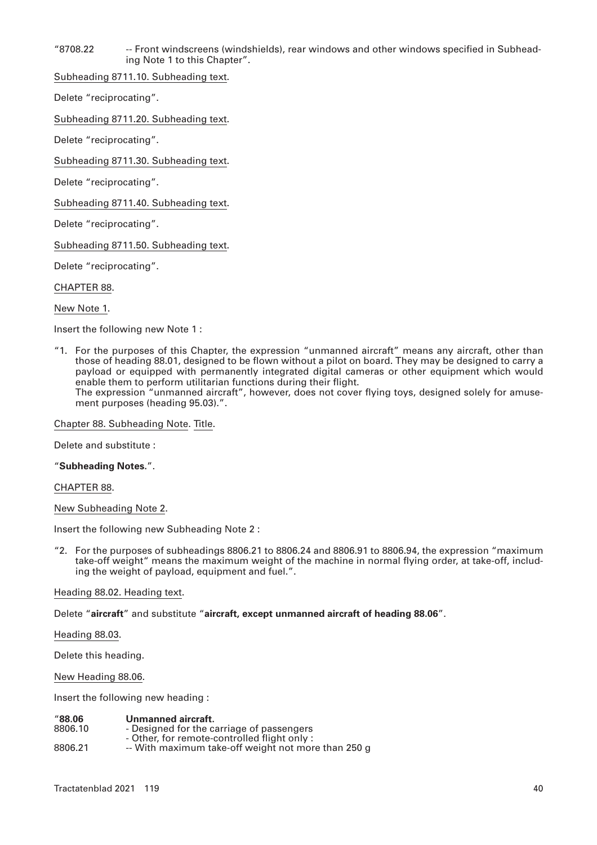"8708.22 -- Front windscreens (windshields), rear windows and other windows specified in Subheading Note 1 to this Chapter".

Subheading 8711.10. Subheading text.

Delete "reciprocating".

Subheading 8711.20. Subheading text.

Delete "reciprocating".

Subheading 8711.30. Subheading text.

Delete "reciprocating".

Subheading 8711.40. Subheading text.

Delete "reciprocating".

Subheading 8711.50. Subheading text.

Delete "reciprocating".

CHAPTER 88.

New Note 1.

Insert the following new Note 1 :

"1. For the purposes of this Chapter, the expression "unmanned aircraft" means any aircraft, other than those of heading 88.01, designed to be flown without a pilot on board. They may be designed to carry a payload or equipped with permanently integrated digital cameras or other equipment which would enable them to perform utilitarian functions during their flight. The expression "unmanned aircraft", however, does not cover flying toys, designed solely for amusement purposes (heading 95.03).".

Chapter 88. Subheading Note. Title.

Delete and substitute :

"**Subheading Notes.**".

CHAPTER 88.

New Subheading Note 2.

Insert the following new Subheading Note 2 :

"2. For the purposes of subheadings 8806.21 to 8806.24 and 8806.91 to 8806.94, the expression "maximum take-off weight" means the maximum weight of the machine in normal flying order, at take-off, including the weight of payload, equipment and fuel.".

Heading 88.02. Heading text.

Delete "**aircraft**" and substitute "**aircraft, except unmanned aircraft of heading 88.06**".

Heading 88.03.

Delete this heading.

New Heading 88.06.

Insert the following new heading :

| "88.06" | Unmanned aircraft.                                  |
|---------|-----------------------------------------------------|
| 8806.10 | - Designed for the carriage of passengers           |
|         | - Other, for remote-controlled flight only:         |
| 8806.21 | -- With maximum take-off weight not more than 250 g |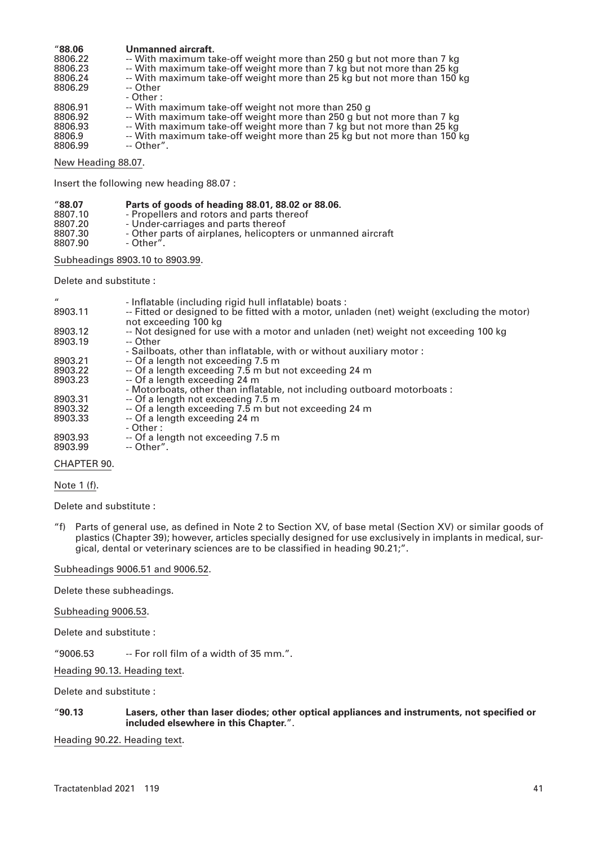| "88.06" | Unmanned aircraft.                                                       |
|---------|--------------------------------------------------------------------------|
| 8806.22 | -- With maximum take-off weight more than 250 g but not more than 7 kg   |
| 8806.23 | -- With maximum take-off weight more than 7 kg but not more than 25 kg   |
| 8806.24 | -- With maximum take-off weight more than 25 kg but not more than 150 kg |
| 8806.29 | -- Other                                                                 |
|         | - Other:                                                                 |
| 8806.91 | -- With maximum take-off weight not more than 250 g                      |
| 8806.92 | -- With maximum take-off weight more than 250 g but not more than 7 kg   |
| 8806.93 | -- With maximum take-off weight more than 7 kg but not more than 25 kg   |
| 8806.9  | -- With maximum take-off weight more than 25 kg but not more than 150 kg |
| 8806.99 | -- Other".                                                               |

New Heading 88.07.

Insert the following new heading 88.07 :

| "88.07" | Parts of goods of heading 88.01, 88.02 or 88.06.             |
|---------|--------------------------------------------------------------|
| 8807.10 | - Propellers and rotors and parts thereof                    |
| 8807.20 | - Under-carriages and parts thereof                          |
| 8807.30 | - Other parts of airplanes, helicopters or unmanned aircraft |
| 8807.90 | - Other".                                                    |

Subheadings 8903.10 to 8903.99.

Delete and substitute :

| $\boldsymbol{\mu}$<br>8903.11 | - Inflatable (including rigid hull inflatable) boats :<br>-- Fitted or designed to be fitted with a motor, unladen (net) weight (excluding the motor)<br>not exceeding 100 kg |
|-------------------------------|-------------------------------------------------------------------------------------------------------------------------------------------------------------------------------|
| 8903.12                       | -- Not designed for use with a motor and unladen (net) weight not exceeding 100 kg                                                                                            |
| 8903.19                       | -- Other                                                                                                                                                                      |
|                               | - Sailboats, other than inflatable, with or without auxiliary motor:                                                                                                          |
| 8903.21                       | -- Of a length not exceeding 7.5 m                                                                                                                                            |
| 8903.22                       | -- Of a length exceeding 7.5 m but not exceeding 24 m                                                                                                                         |
| 8903.23                       | -- Of a length exceeding 24 m                                                                                                                                                 |
|                               | - Motorboats, other than inflatable, not including outboard motorboats :                                                                                                      |
| 8903.31                       | -- Of a length not exceeding 7.5 m                                                                                                                                            |
| 8903.32                       | -- Of a length exceeding 7.5 m but not exceeding 24 m                                                                                                                         |
| 8903.33                       | -- Of a length exceeding 24 m                                                                                                                                                 |
|                               | - Other :                                                                                                                                                                     |
| 8903.93                       | -- Of a length not exceeding 7.5 m                                                                                                                                            |
| 8903.99                       | -- Other".                                                                                                                                                                    |
|                               |                                                                                                                                                                               |

CHAPTER 90.

Note 1 (f).

Delete and substitute :

"f) Parts of general use, as defined in Note 2 to Section XV, of base metal (Section XV) or similar goods of plastics (Chapter 39); however, articles specially designed for use exclusively in implants in medical, surgical, dental or veterinary sciences are to be classified in heading 90.21;".

Subheadings 9006.51 and 9006.52.

Delete these subheadings.

Subheading 9006.53.

Delete and substitute :

"9006.53 -- For roll film of a width of  $35$  mm.".

Heading 90.13. Heading text.

Delete and substitute :

"**90.13 Lasers, other than laser diodes; other optical appliances and instruments, not specified or included elsewhere in this Chapter.**".

Heading 90.22. Heading text.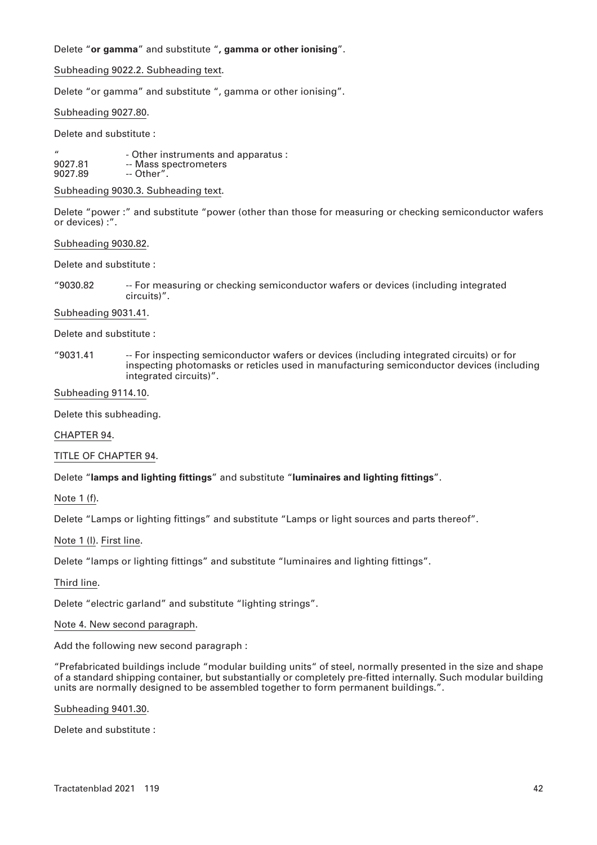# Delete "**or gamma**" and substitute "**, gamma or other ionising**".

# Subheading 9022.2. Subheading text.

Delete "or gamma" and substitute ", gamma or other ionising".

## Subheading 9027.80.

Delete and substitute :

" - Other instruments and apparatus : 9027.81 -- Mass spectrometers 9027.89 -- Other".

## Subheading 9030.3. Subheading text.

Delete "power :" and substitute "power (other than those for measuring or checking semiconductor wafers or devices) :".

## Subheading 9030.82.

Delete and substitute :

"9030.82 -- For measuring or checking semiconductor wafers or devices (including integrated circuits)".

## Subheading 9031.41.

## Delete and substitute :

"9031.41 -- For inspecting semiconductor wafers or devices (including integrated circuits) or for inspecting photomasks or reticles used in manufacturing semiconductor devices (including integrated circuits)".

## Subheading 9114.10.

Delete this subheading.

# CHAPTER 94.

# TITLE OF CHAPTER 94.

# Delete "**lamps and lighting fittings**" and substitute "**luminaires and lighting fittings**".

Note 1 (f).

Delete "Lamps or lighting fittings" and substitute "Lamps or light sources and parts thereof".

Note 1 (l). First line.

Delete "lamps or lighting fittings" and substitute "luminaires and lighting fittings".

Third line.

Delete "electric garland" and substitute "lighting strings".

#### Note 4. New second paragraph.

Add the following new second paragraph :

"Prefabricated buildings include "modular building units" of steel, normally presented in the size and shape of a standard shipping container, but substantially or completely pre-fitted internally. Such modular building units are normally designed to be assembled together to form permanent buildings.".

Subheading 9401.30.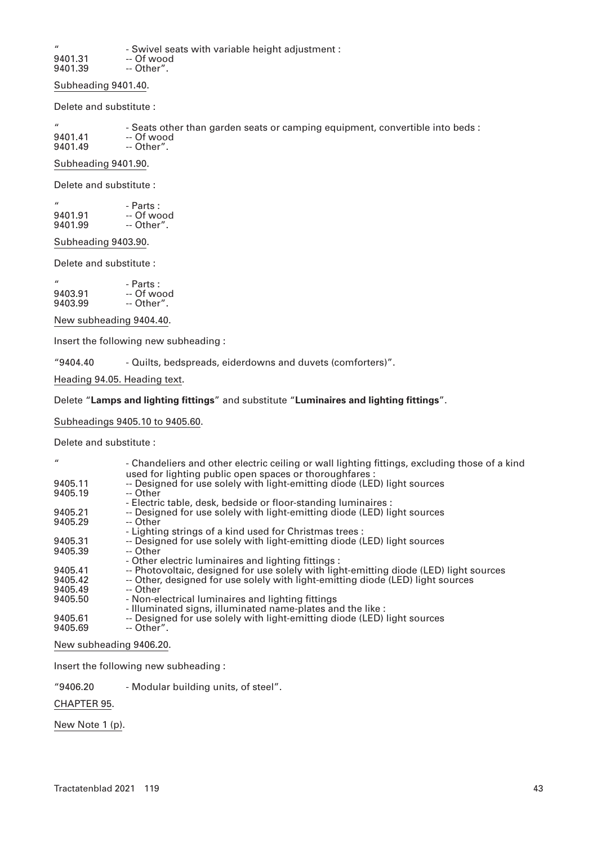" - Swivel seats with variable height adjustment :

9401.31 -- Of wood<br>9401.39 -- Other".  $-$  Other".

Subheading 9401.40.

Delete and substitute :

|         | - Seats other than garden seats or camping equipment, convertible into beds : |
|---------|-------------------------------------------------------------------------------|
| 9401.41 | -- Of wood                                                                    |
| -----   |                                                                               |

9401.49 -- Other".

Subheading 9401.90.

Delete and substitute :

"<br>9401.91 - Of wo 9401.91 -- Of wood 9401.99 -- Other".

Subheading 9403.90.

Delete and substitute :

"<br>9403.91 - Parts :<br>9403.91 -- Of wo 9403.91 -- Of wood 9403.99 -- Other".

New subheading 9404.40.

Insert the following new subheading :

"9404.40 - Quilts, bedspreads, eiderdowns and duvets (comforters)".

Heading 94.05. Heading text.

# Delete "**Lamps and lighting fittings**" and substitute "**Luminaires and lighting fittings**".

Subheadings 9405.10 to 9405.60.

Delete and substitute :

| $\prime$ | - Chandeliers and other electric ceiling or wall lighting fittings, excluding those of a kind |
|----------|-----------------------------------------------------------------------------------------------|
|          | used for lighting public open spaces or thoroughfares :                                       |
| 9405.11  | -- Designed for use solely with light-emitting diode (LED) light sources                      |
| 9405.19  | -- Other                                                                                      |
|          | - Electric table, desk, bedside or floor-standing luminaires :                                |
| 9405.21  | -- Designed for use solely with light-emitting diode (LED) light sources                      |
| 9405.29  | -- Other                                                                                      |
|          | - Lighting strings of a kind used for Christmas trees :                                       |
| 9405.31  | -- Designed for use solely with light-emitting diode (LED) light sources                      |
| 9405.39  | -- Other                                                                                      |
|          | - Other electric luminaires and lighting fittings :                                           |
| 9405.41  | -- Photovoltaic, designed for use solely with light-emitting diode (LED) light sources        |
| 9405.42  | -- Other, designed for use solely with light-emitting diode (LED) light sources               |
| 9405.49  | -- Other                                                                                      |
| 9405.50  | - Non-electrical luminaires and lighting fittings                                             |
|          | - Illuminated signs, illuminated name-plates and the like :                                   |
| 9405.61  | -- Designed for use solely with light-emitting diode (LED) light sources                      |
| 9405.69  | -- Other".                                                                                    |

New subheading 9406.20.

Insert the following new subheading :

"9406.20 - Modular building units, of steel".

CHAPTER 95.

New Note 1 (p).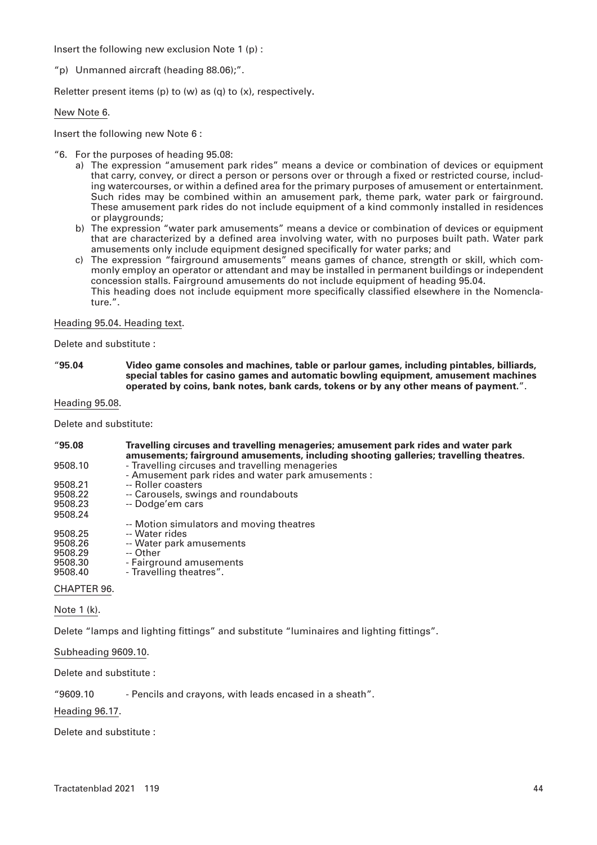Insert the following new exclusion Note 1 (p) :

"p) Unmanned aircraft (heading 88.06);".

Reletter present items (p) to (w) as (q) to (x), respectively**.**

## New Note 6.

Insert the following new Note 6 :

- "6. For the purposes of heading 95.08:
	- a) The expression "amusement park rides" means a device or combination of devices or equipment that carry, convey, or direct a person or persons over or through a fixed or restricted course, including watercourses, or within a defined area for the primary purposes of amusement or entertainment. Such rides may be combined within an amusement park, theme park, water park or fairground. These amusement park rides do not include equipment of a kind commonly installed in residences or playgrounds;
	- b) The expression "water park amusements" means a device or combination of devices or equipment that are characterized by a defined area involving water, with no purposes built path. Water park amusements only include equipment designed specifically for water parks; and
	- c) The expression "fairground amusements" means games of chance, strength or skill, which commonly employ an operator or attendant and may be installed in permanent buildings or independent concession stalls. Fairground amusements do not include equipment of heading 95.04. This heading does not include equipment more specifically classified elsewhere in the Nomenclature.".

## Heading 95.04. Heading text.

Delete and substitute :

"**95.04 Video game consoles and machines, table or parlour games, including pintables, billiards, special tables for casino games and automatic bowling equipment, amusement machines operated by coins, bank notes, bank cards, tokens or by any other means of payment.**".

## Heading 95.08.

Delete and substitute:

| "95.08"     | Travelling circuses and travelling menageries; amusement park rides and water park<br>amusements; fairground amusements, including shooting galleries; travelling theatres. |
|-------------|-----------------------------------------------------------------------------------------------------------------------------------------------------------------------------|
| 9508.10     | - Travelling circuses and travelling menageries<br>- Amusement park rides and water park amusements :                                                                       |
| 9508.21     | -- Roller coasters                                                                                                                                                          |
| 9508.22     | -- Carousels, swings and roundabouts                                                                                                                                        |
| 9508.23     | -- Dodge'em cars                                                                                                                                                            |
| 9508.24     |                                                                                                                                                                             |
|             | -- Motion simulators and moving theatres                                                                                                                                    |
| 9508.25     | -- Water rides                                                                                                                                                              |
| 9508.26     | -- Water park amusements                                                                                                                                                    |
| 9508.29     | -- Other                                                                                                                                                                    |
| 9508.30     | - Fairground amusements                                                                                                                                                     |
| 9508.40     | - Travelling theatres".                                                                                                                                                     |
| CHAPTER 96. |                                                                                                                                                                             |

Note 1 (k).

Delete "lamps and lighting fittings" and substitute "luminaires and lighting fittings".

Subheading 9609.10.

Delete and substitute :

"9609.10 - Pencils and crayons, with leads encased in a sheath".

Heading 96.17.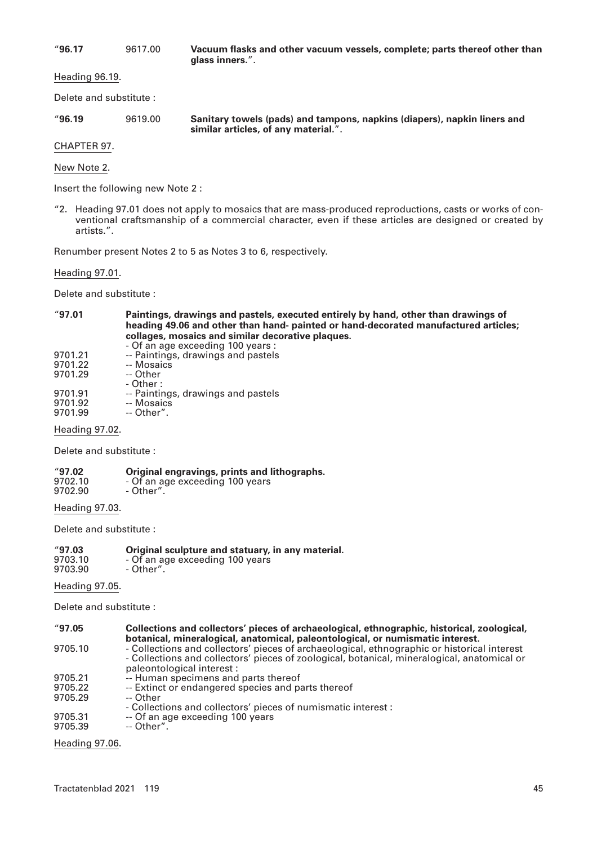"**96.17** 9617.00 **Vacuum flasks and other vacuum vessels, complete; parts thereof other than glass inners.**".

Heading 96.19.

Delete and substitute :

| "96.19" | 9619.00 | Sanitary towels (pads) and tampons, napkins (diapers), napkin liners and |
|---------|---------|--------------------------------------------------------------------------|
|         |         | similar articles, of any material.".                                     |

CHAPTER 97.

New Note 2.

Insert the following new Note 2 :

"2. Heading 97.01 does not apply to mosaics that are mass-produced reproductions, casts or works of conventional craftsmanship of a commercial character, even if these articles are designed or created by artists.".

Renumber present Notes 2 to 5 as Notes 3 to 6, respectively.

## Heading 97.01.

Delete and substitute :

## "**97.01 Paintings, drawings and pastels, executed entirely by hand, other than drawings of heading 49.06 and other than hand- painted or hand-decorated manufactured articles; collages, mosaics and similar decorative plaques.**

- Of an age exceeding 100 years : 9701.21 -- Paintings, drawings and pastels<br>9701.22 -- Mosaics 9701.22 -- Mosaics<br>9701.29 -- Other -- Other - Other : 9701.91 -- Paintings, drawings and pastels<br>9701.92 -- Mosaics 9701.92 -- Mosaics<br>9701.99 -- Other". -- Other".
- Heading 97.02.

Delete and substitute :

| "97.02" | Original engravings, prints and lithographs. |
|---------|----------------------------------------------|
| 9702.10 | - Of an age exceeding 100 years              |
| 9702.90 | - Other".                                    |

Heading 97.03.

Delete and substitute :

| "97.03" | Original sculpture and statuary, in any material. |
|---------|---------------------------------------------------|
| 9703.10 | - Of an age exceeding 100 years                   |
| 9703.90 | - Other".                                         |

Heading 97.05.

Delete and substitute :

| "97.05"            | Collections and collectors' pieces of archaeological, ethnographic, historical, zoological,<br>botanical, mineralogical, anatomical, paleontological, or numismatic interest.                                            |
|--------------------|--------------------------------------------------------------------------------------------------------------------------------------------------------------------------------------------------------------------------|
| 9705.10            | - Collections and collectors' pieces of archaeological, ethnographic or historical interest<br>- Collections and collectors' pieces of zoological, botanical, mineralogical, anatomical or<br>paleontological interest : |
| 9705.21            | -- Human specimens and parts thereof                                                                                                                                                                                     |
| 9705.22            | -- Extinct or endangered species and parts thereof                                                                                                                                                                       |
| 9705.29            | -- Other<br>- Collections and collectors' pieces of numismatic interest :                                                                                                                                                |
| 9705.31<br>9705.39 | -- Of an age exceeding 100 years<br>-- Other".                                                                                                                                                                           |
|                    |                                                                                                                                                                                                                          |

Heading 97.06.